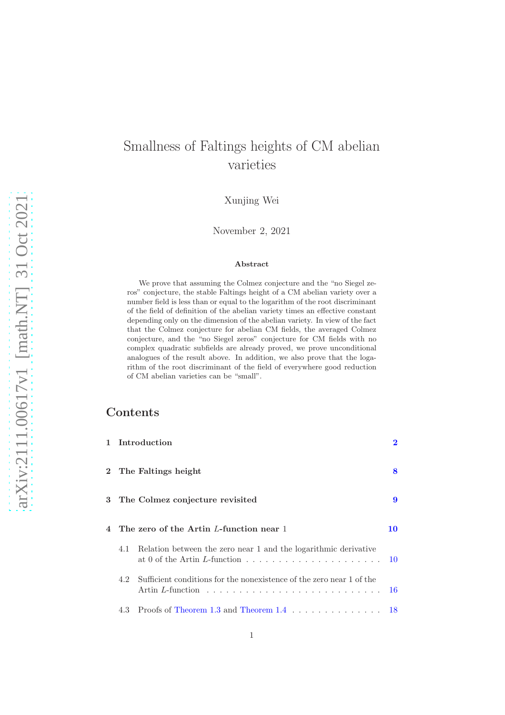# Smallness of Faltings heights of CM abelian varieties

Xunjing Wei

November 2, 2021

#### Abstract

We prove that assuming the Colmez conjecture and the "no Siegel zeros" conjecture, the stable Faltings height of a CM abelian variety over a number field is less than or equal to the logarithm of the root discriminant of the field of definition of the abelian variety times an effective constant depending only on the dimension of the abelian variety. In view of the fact that the Colmez conjecture for abelian CM fields, the averaged Colmez conjecture, and the "no Siegel zeros" conjecture for CM fields with no complex quadratic subfields are already proved, we prove unconditional analogues of the result above. In addition, we also prove that the logarithm of the root discriminant of the field of everywhere good reduction of CM abelian varieties can be "small".

## **Contents**

|     | 1 Introduction                                                       | $\overline{\mathbf{2}}$ |
|-----|----------------------------------------------------------------------|-------------------------|
|     | 2 The Faltings height                                                | 8                       |
|     | 3 The Colmez conjecture revisited                                    | 9                       |
|     | 4 The zero of the Artin L-function near 1                            | 10                      |
| 4.1 | Relation between the zero near 1 and the logarithmic derivative      |                         |
| 4.2 | Sufficient conditions for the nonexistence of the zero near 1 of the | -16                     |
|     | 4.3 Proofs of Theorem 1.3 and Theorem 1.4 18                         |                         |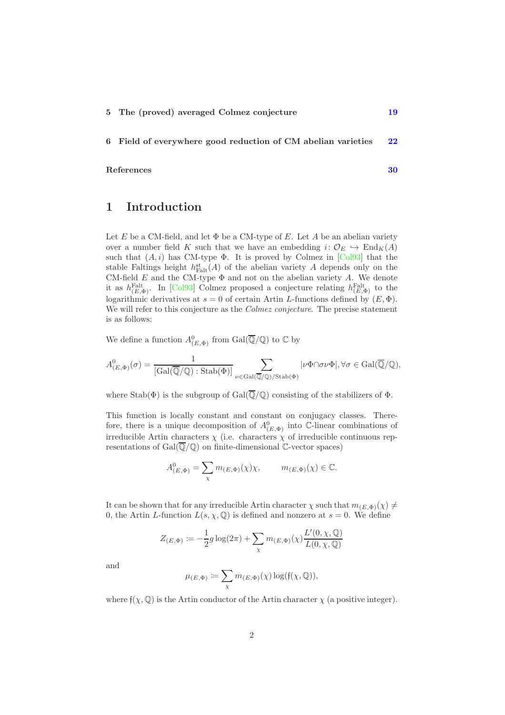6 Field of everywhere good reduction of CM abelian varieties [22](#page-21-0)

#### <span id="page-1-0"></span>References [30](#page-29-0)

## 1 Introduction

Let E be a CM-field, and let  $\Phi$  be a CM-type of E. Let A be an abelian variety over a number field K such that we have an embedding  $i: \mathcal{O}_E \hookrightarrow \text{End}_K(A)$ such that  $(A, i)$  has CM-type  $\Phi$ . It is proved by Colmez in [\[Col93\]](#page-30-0) that the stable Faltings height  $h_{\text{Falt}}^{\text{st}}(A)$  of the abelian variety A depends only on the CM-field  $E$  and the CM-type  $\Phi$  and not on the abelian variety  $A$ . We denote it as  $h_{(E,\Phi)}^{\text{Falt}}$ . In [\[Col93\]](#page-30-0) Colmez proposed a conjecture relating  $h_{(E,\Phi)}^{\text{Falt}}$  to the logarithmic derivatives at  $s = 0$  of certain Artin L-functions defined by  $(E, \Phi)$ . We will refer to this conjecture as the *Colmez conjecture*. The precise statement is as follows:

We define a function  $A^0_{(E,\Phi)}$  from  $Gal(\overline{\mathbb{Q}}/\mathbb{Q})$  to  $\mathbb{C}$  by

$$
A^0_{(E,\Phi)}(\sigma) = \frac{1}{[\text{Gal}(\overline{\mathbb{Q}}/\mathbb{Q}) : \text{Stab}(\Phi)]} \sum_{\nu \in \text{Gal}(\overline{\mathbb{Q}}/\mathbb{Q}) / \text{Stab}(\Phi)} |\nu \Phi \cap \sigma \nu \Phi|, \forall \sigma \in \text{Gal}(\overline{\mathbb{Q}}/\mathbb{Q}),
$$

where  $Stab(\Phi)$  is the subgroup of  $Gal(\overline{\mathbb{Q}}/\mathbb{Q})$  consisting of the stabilizers of  $\Phi$ .

This function is locally constant and constant on conjugacy classes. Therefore, there is a unique decomposition of  $A^0_{(E,\Phi)}$  into C-linear combinations of irreducible Artin characters  $\chi$  (i.e. characters  $\chi$  of irreducible continuous representations of  $Gal(Q/Q)$  on finite-dimensional C-vector spaces)

$$
A^0_{(E,\Phi)} = \sum_{\chi} m_{(E,\Phi)}(\chi)\chi, \qquad m_{(E,\Phi)}(\chi) \in \mathbb{C}.
$$

It can be shown that for any irreducible Artin character  $\chi$  such that  $m_{(E,\Phi)}(\chi) \neq$ 0, the Artin L-function  $L(s, \chi, \mathbb{Q})$  is defined and nonzero at  $s = 0$ . We define

$$
Z_{(E,\Phi)} := -\frac{1}{2}g \log(2\pi) + \sum_{\chi} m_{(E,\Phi)}(\chi) \frac{L'(0,\chi,\mathbb{Q})}{L(0,\chi,\mathbb{Q})}
$$

and

$$
\mu_{(E,\Phi)}\coloneqq \sum_{\chi} m_{(E,\Phi)}(\chi)\log(\mathfrak f(\chi,\mathbb Q)),
$$

where  $f(\chi, \mathbb{Q})$  is the Artin conductor of the Artin character  $\chi$  (a positive integer).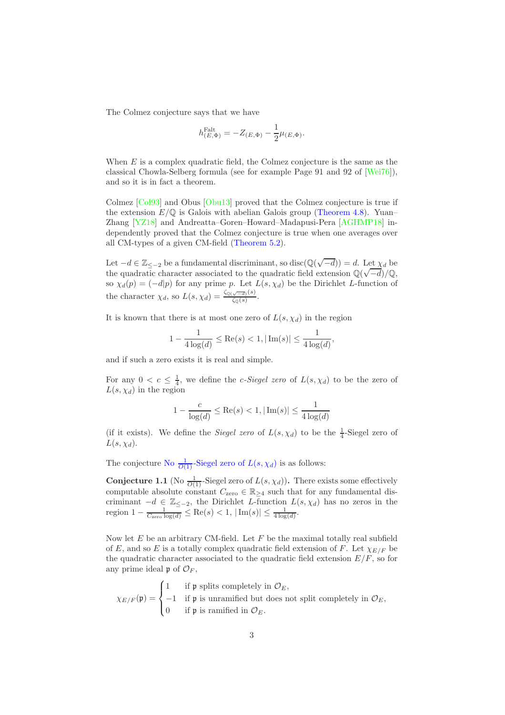The Colmez conjecture says that we have

$$
h^{\mathrm{Falt}}_{(E,\Phi)} = -Z_{(E,\Phi)} - \frac{1}{2}\mu_{(E,\Phi)}.
$$

When  $E$  is a complex quadratic field, the Colmez conjecture is the same as the classical Chowla-Selberg formula (see for example Page 91 and 92 of [\[Wei76\]](#page-32-0)), and so it is in fact a theorem.

Colmez [\[Col93\]](#page-30-0) and Obus [\[Obu13\]](#page-31-0) proved that the Colmez conjecture is true if the extension  $E/\mathbb{Q}$  is Galois with abelian Galois group [\(Theorem 4.8\)](#page-17-1). Yuan– Zhang [\[YZ18\]](#page-32-1) and Andreatta–Goren–Howard–Madapusi-Pera [\[AGHMP18\]](#page-29-1) independently proved that the Colmez conjecture is true when one averages over all CM-types of a given CM-field [\(Theorem 5.2\)](#page-18-1).

Let  $-d \in \mathbb{Z}_{\leq -2}$  be a fundamental discriminant, so disc $(\mathbb{Q}(\sqrt{-d})) = d$ . Let  $\chi_d$  be the quadratic character associated to the quadratic field extension  $\mathbb{Q}(\sqrt{-d})/\mathbb{Q}$ , so  $\chi_d(p) = (-d|p)$  for any prime p. Let  $L(s, \chi_d)$  be the Dirichlet L-function of the character  $\chi_d$ , so  $L(s, \chi_d) = \frac{\zeta_{\mathbb{Q}(\sqrt{-d})}(s)}{\zeta_{\mathbb{Q}}(s)}$  $\frac{\sqrt{-d} \cdot \sqrt{d}}{\zeta_{\mathbb{Q}}(s)}$ .

It is known that there is at most one zero of  $L(s, \chi_d)$  in the region

$$
1 - \frac{1}{4\log(d)} \le \text{Re}(s) < 1, |\text{Im}(s)| \le \frac{1}{4\log(d)},
$$

and if such a zero exists it is real and simple.

For any  $0 < c \leq \frac{1}{4}$ , we define the *c-Siegel zero* of  $L(s, \chi_d)$  to be the zero of  $L(s, \chi_d)$  in the region

$$
1 - \frac{c}{\log(d)} \le \text{Re}(s) < 1, |\,\text{Im}(s)| \le \frac{1}{4\log(d)}
$$

(if it exists). We define the *Siegel zero* of  $L(s, \chi_d)$  to be the  $\frac{1}{4}$ -Siegel zero of  $L(s, \chi_d)$ .

The conjecture No  $\frac{1}{O(1)}$ [-Siegel zero of](#page-2-0)  $L(s, \chi_d)$  is as follows:

<span id="page-2-0"></span>**Conjecture 1.1** (No  $\frac{1}{O(1)}$ -Siegel zero of  $L(s, \chi_d)$ ). There exists some effectively computable absolute constant  $C_{\text{zero}} \in \mathbb{R}_{\geq 4}$  such that for any fundamental discriminant  $-d \in \mathbb{Z}_{\leq -2}$ , the Dirichlet L-function  $L(s, \chi_d)$  has no zeros in the region  $1 - \frac{1}{C_{\text{zero log}(d)}} \leq \text{Re}(s) < 1, |\text{Im}(s)| \leq \frac{1}{4 \log(d)}$ .

Now let  $E$  be an arbitrary CM-field. Let  $F$  be the maximal totally real subfield of E, and so E is a totally complex quadratic field extension of F. Let  $\chi_{E/F}$  be the quadratic character associated to the quadratic field extension  $E/F$ , so for any prime ideal  $\mathfrak{p}$  of  $\mathcal{O}_F$ ,

$$
\chi_{E/F}(\mathfrak{p}) = \begin{cases} 1 & \text{if $\mathfrak{p}$ splits completely in $\mathcal{O}_E$,} \\ -1 & \text{if $\mathfrak{p}$ is unramified but does not split completely in $\mathcal{O}_E$,} \\ 0 & \text{if $\mathfrak{p}$ is ramified in $\mathcal{O}_E$.} \end{cases}
$$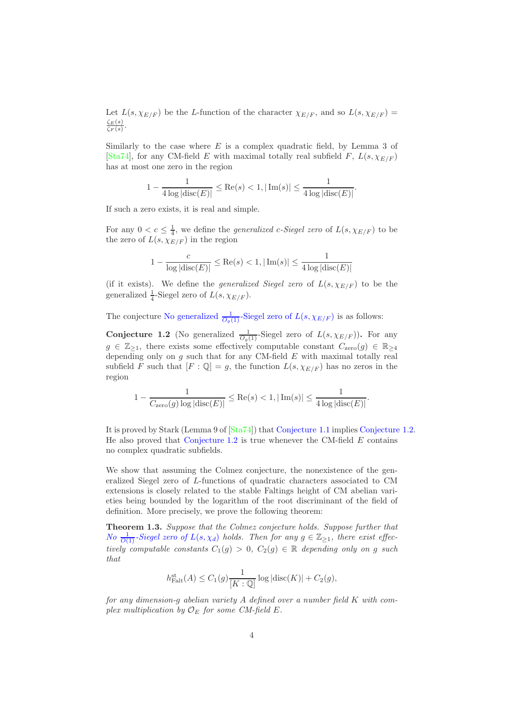Let  $L(s, \chi_{E/F})$  be the L-function of the character  $\chi_{E/F}$ , and so  $L(s, \chi_{E/F})$  =  $\zeta_{E}(s)$  $\frac{\zeta E(S)}{\zeta_F(s)}$ .

Similarly to the case where  $E$  is a complex quadratic field, by Lemma 3 of [\[Sta74\]](#page-31-1), for any CM-field E with maximal totally real subfield F,  $L(s, \chi_{E/F})$ has at most one zero in the region

$$
1 - \frac{1}{4 \log |\text{disc}(E)|} \le \text{Re}(s) < 1, |\text{Im}(s)| \le \frac{1}{4 \log |\text{disc}(E)|}.
$$

If such a zero exists, it is real and simple.

For any  $0 < c \leq \frac{1}{4}$ , we define the *generalized c-Siegel zero* of  $L(s, \chi_{E/F})$  to be the zero of  $L(s, \chi_{E/F})$  in the region

$$
1 - \frac{c}{\log|\text{disc}(E)|} \le \text{Re}(s) < 1, |\text{Im}(s)| \le \frac{1}{4\log|\text{disc}(E)|}
$$

(if it exists). We define the *generalized Siegel zero* of  $L(s, \chi_{E/F})$  to be the generalized  $\frac{1}{4}$ -Siegel zero of  $L(s, \chi_{E/F})$ .

The conjecture [No generalized](#page-3-1)  $\frac{1}{O_g(1)}$ -Siegel zero of  $L(s, \chi_{E/F})$  is as follows:

<span id="page-3-1"></span>**Conjecture 1.2** (No generalized  $\frac{1}{O_g(1)}$ -Siegel zero of  $L(s, \chi_{E/F})$ ). For any  $g \in \mathbb{Z}_{\geq 1}$ , there exists some effectively computable constant  $C_{\text{zero}}(g) \in \mathbb{R}_{\geq 4}$ depending only on  $g$  such that for any CM-field  $E$  with maximal totally real subfield F such that  $[F: \mathbb{Q}] = g$ , the function  $L(s, \chi_{E/F})$  has no zeros in the region

$$
1 - \frac{1}{C_{\text{zero}}(g) \log |\text{disc}(E)|} \le \text{Re}(s) < 1, |\text{Im}(s)| \le \frac{1}{4 \log |\text{disc}(E)|}.
$$

It is proved by Stark (Lemma 9 of [\[Sta74\]](#page-31-1)) that [Conjecture 1.1](#page-2-0) implies [Conjecture 1.2.](#page-3-1) He also proved that [Conjecture 1.2](#page-3-1) is true whenever the CM-field  $E$  contains no complex quadratic subfields.

We show that assuming the Colmez conjecture, the nonexistence of the generalized Siegel zero of L-functions of quadratic characters associated to CM extensions is closely related to the stable Faltings height of CM abelian varieties being bounded by the logarithm of the root discriminant of the field of definition. More precisely, we prove the following theorem:

<span id="page-3-0"></span>Theorem 1.3. Suppose that the Colmez conjecture holds. Suppose further that No  $\frac{1}{O(1)}$ [-Siegel zero of](#page-2-0)  $L(s, \chi_d)$  holds. Then for any  $g \in \mathbb{Z}_{\geq 1}$ , there exist effectively computable constants  $C_1(g) > 0$ ,  $C_2(g) \in \mathbb{R}$  depending only on g such that

$$
h_{\text{Falt}}^{\text{st}}(A) \le C_1(g) \frac{1}{[K:\mathbb{Q}]} \log |\text{disc}(K)| + C_2(g),
$$

for any dimension-g abelian variety A defined over a number field K with complex multiplication by  $\mathcal{O}_E$  for some CM-field E.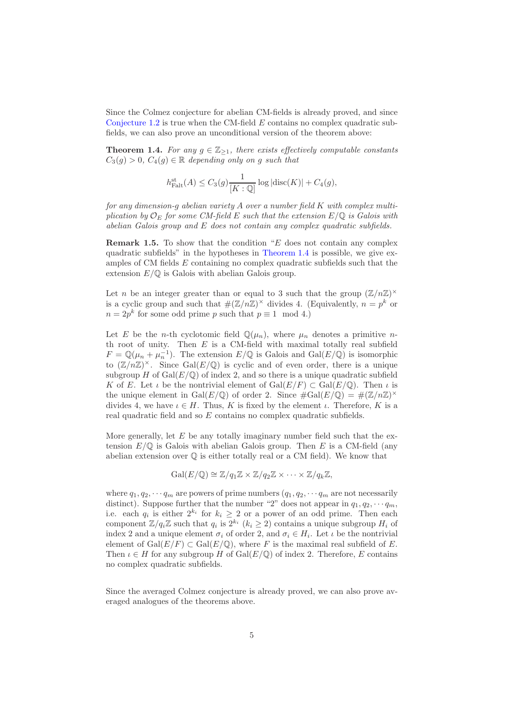Since the Colmez conjecture for abelian CM-fields is already proved, and since [Conjecture 1.2](#page-3-1) is true when the CM-field  $E$  contains no complex quadratic subfields, we can also prove an unconditional version of the theorem above:

<span id="page-4-0"></span>**Theorem 1.4.** For any  $g \in \mathbb{Z}_{\geq 1}$ , there exists effectively computable constants  $C_3(g) > 0$ ,  $C_4(g) \in \mathbb{R}$  depending only on g such that

$$
h_{\text{Falt}}^{\text{st}}(A) \leq C_3(g) \frac{1}{[K:\mathbb{Q}]} \log|\text{disc}(K)| + C_4(g),
$$

for any dimension-g abelian variety A over a number field K with complex multiplication by  $\mathcal{O}_E$  for some CM-field E such that the extension  $E/\mathbb{Q}$  is Galois with abelian Galois group and E does not contain any complex quadratic subfields.

**Remark 1.5.** To show that the condition " $E$  does not contain any complex quadratic subfields" in the hypotheses in [Theorem 1.4](#page-4-0) is possible, we give examples of CM fields  $E$  containing no complex quadratic subfields such that the extension  $E/\mathbb{Q}$  is Galois with abelian Galois group.

Let n be an integer greater than or equal to 3 such that the group  $(\mathbb{Z}/n\mathbb{Z})^{\times}$ is a cyclic group and such that  $\#(\mathbb{Z}/n\mathbb{Z})^{\times}$  divides 4. (Equivalently,  $n = p^k$  or  $n = 2p^k$  for some odd prime p such that  $p \equiv 1 \mod 4$ .)

Let E be the *n*-th cyclotomic field  $\mathbb{Q}(\mu_n)$ , where  $\mu_n$  denotes a primitive *n*th root of unity. Then  $E$  is a CM-field with maximal totally real subfield  $F = \mathbb{Q}(\mu_n + \mu_n^{-1})$ . The extension  $E/\mathbb{Q}$  is Galois and  $Gal(E/\mathbb{Q})$  is isomorphic to  $(\mathbb{Z}/n\mathbb{Z})^{\times}$ . Since Gal $(E/\mathbb{Q})$  is cyclic and of even order, there is a unique subgroup H of  $Gal(E/\mathbb{Q})$  of index 2, and so there is a unique quadratic subfield K of E. Let  $\iota$  be the nontrivial element of  $Gal(E/F) \subset Gal(E/\mathbb{Q})$ . Then  $\iota$  is the unique element in Gal $(E/\mathbb{Q})$  of order 2. Since  $\#\text{Gal}(E/\mathbb{Q}) = \#(\mathbb{Z}/n\mathbb{Z})^{\times}$ divides 4, we have  $\iota \in H$ . Thus, K is fixed by the element  $\iota$ . Therefore, K is a real quadratic field and so  $E$  contains no complex quadratic subfields.

More generally, let  $E$  be any totally imaginary number field such that the extension  $E/\mathbb{Q}$  is Galois with abelian Galois group. Then E is a CM-field (any abelian extension over Q is either totally real or a CM field). We know that

$$
\mathrm{Gal}(E/\mathbb{Q})\cong \mathbb{Z}/q_1\mathbb{Z}\times \mathbb{Z}/q_2\mathbb{Z}\times \cdots \times \mathbb{Z}/q_k\mathbb{Z},
$$

where  $q_1, q_2, \dots, q_m$  are powers of prime numbers  $(q_1, q_2, \dots, q_m$  are not necessarily distinct). Suppose further that the number "2" does not appear in  $q_1, q_2, \cdots q_m$ , i.e. each  $q_i$  is either  $2^{k_i}$  for  $k_i \geq 2$  or a power of an odd prime. Then each component  $\mathbb{Z}/q_i\mathbb{Z}$  such that  $q_i$  is  $2^{k_i}$   $(k_i \geq 2)$  contains a unique subgroup  $H_i$  of index 2 and a unique element  $\sigma_i$  of order 2, and  $\sigma_i \in H_i$ . Let  $\iota$  be the nontrivial element of  $Gal(E/F) \subset Gal(E/\mathbb{Q})$ , where F is the maximal real subfield of E. Then  $\iota \in H$  for any subgroup H of Gal $(E/\mathbb{Q})$  of index 2. Therefore, E contains no complex quadratic subfields.

Since the averaged Colmez conjecture is already proved, we can also prove averaged analogues of the theorems above.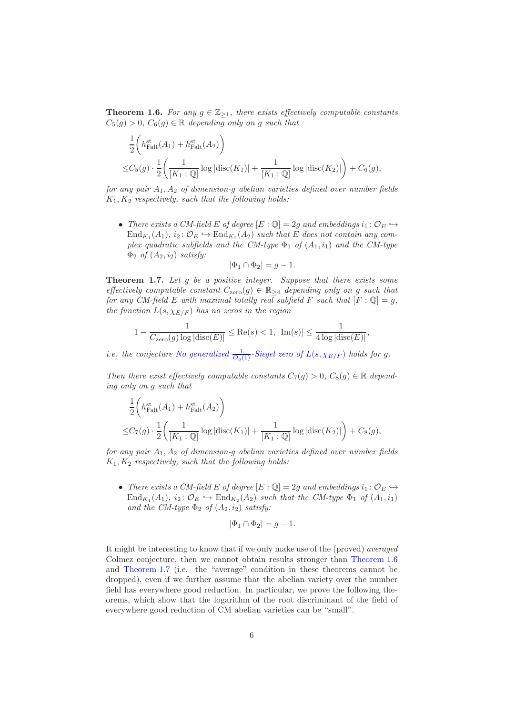<span id="page-5-0"></span>**Theorem 1.6.** For any  $g \in \mathbb{Z}_{\geq 1}$ , there exists effectively computable constants  $C_5(g) > 0$ ,  $C_6(g) \in \mathbb{R}$  depending only on g such that

$$
\frac{1}{2} \left( h_{\text{Falt}}^{\text{st}}(A_1) + h_{\text{Falt}}^{\text{st}}(A_2) \right)
$$
  

$$
\leq C_5(g) \cdot \frac{1}{2} \left( \frac{1}{[K_1 : \mathbb{Q}]} \log |\text{disc}(K_1)| + \frac{1}{[K_1 : \mathbb{Q}]} \log |\text{disc}(K_2)| \right) + C_6(g),
$$

for any pair  $A_1, A_2$  of dimension-g abelian varieties defined over number fields  $K_1, K_2$  respectively, such that the following holds:

• There exists a CM-field E of degree  $[E:\mathbb{Q}]=2g$  and embeddings  $i_1:\mathcal{O}_E\hookrightarrow$  $\text{End}_{K_1}(A_1), i_2 \colon \mathcal{O}_E \hookrightarrow \text{End}_{K_2}(A_2)$  such that E does not contain any complex quadratic subfields and the CM-type  $\Phi_1$  of  $(A_1, i_1)$  and the CM-type  $\Phi_2$  of  $(A_2, i_2)$  satisfy:

$$
|\Phi_1 \cap \Phi_2| = g - 1.
$$

<span id="page-5-1"></span>**Theorem 1.7.** Let  $g$  be a positive integer. Suppose that there exists some effectively computable constant  $C_{\text{zero}}(g) \in \mathbb{R}_{\geq 4}$  depending only on g such that for any CM-field E with maximal totally real subfield F such that  $[F: \mathbb{Q}] = g$ , the function  $L(s, \chi_{E/F})$  has no zeros in the region

$$
1-\frac{1}{C_{\text{zero}}(g)\log|\text{disc}(E)|} \leq \text{Re}(s) < 1, |\,\text{Im}(s)| \leq \frac{1}{4\log|\text{disc}(E)|},
$$

*i.e. the conjecture [No generalized](#page-3-1)*  $\frac{1}{O_g(1)}$ -Siegel zero of  $L(s, \chi_{E/F})$  holds for g.

Then there exist effectively computable constants  $C_7(g) > 0$ ,  $C_8(g) \in \mathbb{R}$  depending only on g such that

$$
\frac{1}{2} \left( h_{\text{Falt}}^{\text{st}}(A_1) + h_{\text{Falt}}^{\text{st}}(A_2) \right)
$$
  
\n
$$
\leq C_7(g) \cdot \frac{1}{2} \left( \frac{1}{[K_1 : \mathbb{Q}]} \log |\text{disc}(K_1)| + \frac{1}{[K_1 : \mathbb{Q}]} \log |\text{disc}(K_2)| \right) + C_8(g),
$$

for any pair  $A_1, A_2$  of dimension-q abelian varieties defined over number fields  $K_1, K_2$  respectively, such that the following holds:

• There exists a CM-field E of degree  $[E:\mathbb{Q}]=2g$  and embeddings  $i_1: \mathcal{O}_E \hookrightarrow$  $\text{End}_{K_1}(A_1), i_2 \colon \mathcal{O}_E \hookrightarrow \text{End}_{K_2}(A_2)$  such that the CM-type  $\Phi_1$  of  $(A_1, i_1)$ and the CM-type  $\Phi_2$  of  $(A_2, i_2)$  satisfy:

$$
|\Phi_1 \cap \Phi_2| = g - 1.
$$

It might be interesting to know that if we only make use of the (proved) averaged Colmez conjecture, then we cannot obtain results stronger than [Theorem 1.6](#page-5-0) and [Theorem 1.7](#page-5-1) (i.e. the "average" condition in these theorems cannot be dropped), even if we further assume that the abelian variety over the number field has everywhere good reduction. In particular, we prove the following theorems, which show that the logarithm of the root discriminant of the field of everywhere good reduction of CM abelian varieties can be "small".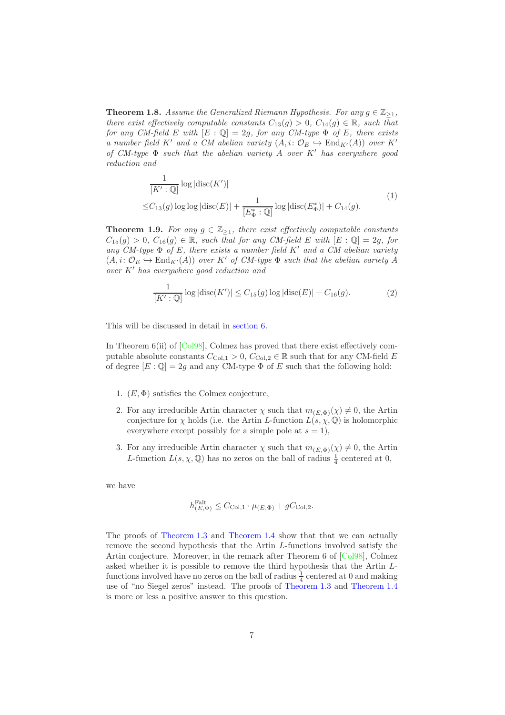<span id="page-6-0"></span>**Theorem 1.8.** Assume the Generalized Riemann Hypothesis. For any  $g \in \mathbb{Z}_{\geq 1}$ , there exist effectively computable constants  $C_{13}(g) > 0$ ,  $C_{14}(g) \in \mathbb{R}$ , such that for any CM-field E with  $[E : \mathbb{Q}] = 2g$ , for any CM-type  $\Phi$  of E, there exists a number field K' and a CM abelian variety  $(A, i: \mathcal{O}_E \hookrightarrow \text{End}_{K'}(A))$  over K' of  $CM$ -type  $\Phi$  such that the abelian variety  $A$  over  $K'$  has everywhere good reduction and

$$
\frac{1}{[K':\mathbb{Q}]} \log |\text{disc}(K')|
$$
\n
$$
\leq C_{13}(g) \log \log |\text{disc}(E)| + \frac{1}{[E_{\Phi}^*:\mathbb{Q}]} \log |\text{disc}(E_{\Phi}^*)| + C_{14}(g).
$$
\n
$$
(1)
$$

<span id="page-6-2"></span><span id="page-6-1"></span>**Theorem 1.9.** For any  $g \in \mathbb{Z}_{\geq 1}$ , there exist effectively computable constants  $C_{15}(g) > 0$ ,  $C_{16}(g) \in \mathbb{R}$ , such that for any CM-field E with  $[E:\mathbb{Q}] = 2g$ , for any CM-type  $\Phi$  of E, there exists a number field K' and a CM abelian variety  $(A, i: \mathcal{O}_E \hookrightarrow \text{End}_{K'}(A))$  over K' of CM-type  $\Phi$  such that the abelian variety A  $over K'$  has everywhere good reduction and

$$
\frac{1}{[K':\mathbb{Q}]} \log |\text{disc}(K')| \le C_{15}(g) \log |\text{disc}(E)| + C_{16}(g). \tag{2}
$$

<span id="page-6-3"></span>This will be discussed in detail in [section 6.](#page-21-0)

1

In Theorem 6(ii) of [\[Col98\]](#page-30-1), Colmez has proved that there exist effectively computable absolute constants  $C_{\text{Col},1} > 0$ ,  $C_{\text{Col},2} \in \mathbb{R}$  such that for any CM-field E of degree  $[E:\mathbb{Q}]=2g$  and any CM-type  $\Phi$  of E such that the following hold:

- 1.  $(E, \Phi)$  satisfies the Colmez conjecture,
- 2. For any irreducible Artin character  $\chi$  such that  $m_{(E,\Phi)}(\chi) \neq 0$ , the Artin conjecture for  $\chi$  holds (i.e. the Artin L-function  $L(s, \chi, \mathbb{Q})$  is holomorphic everywhere except possibly for a simple pole at  $s = 1$ ,
- 3. For any irreducible Artin character  $\chi$  such that  $m_{(E,\Phi)}(\chi) \neq 0$ , the Artin L-function  $L(s, \chi, \mathbb{Q})$  has no zeros on the ball of radius  $\frac{1}{4}$  centered at 0,

we have

$$
h_{(E,\Phi)}^{\text{Falt}} \leq C_{\text{Col},1} \cdot \mu_{(E,\Phi)} + gC_{\text{Col},2}.
$$

The proofs of [Theorem 1.3](#page-3-0) and [Theorem 1.4](#page-4-0) show that that we can actually remove the second hypothesis that the Artin L-functions involved satisfy the Artin conjecture. Moreover, in the remark after Theorem 6 of [\[Col98\]](#page-30-1), Colmez asked whether it is possible to remove the third hypothesis that the Artin Lfunctions involved have no zeros on the ball of radius  $\frac{1}{4}$  centered at 0 and making use of "no Siegel zeros" instead. The proofs of [Theorem 1.3](#page-3-0) and [Theorem 1.4](#page-4-0) is more or less a positive answer to this question.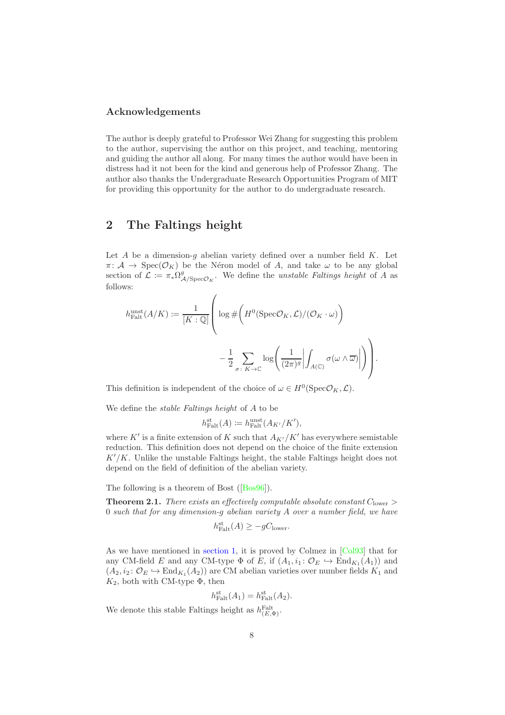#### Acknowledgements

The author is deeply grateful to Professor Wei Zhang for suggesting this problem to the author, supervising the author on this project, and teaching, mentoring and guiding the author all along. For many times the author would have been in distress had it not been for the kind and generous help of Professor Zhang. The author also thanks the Undergraduate Research Opportunities Program of MIT for providing this opportunity for the author to do undergraduate research.

### <span id="page-7-0"></span>2 The Faltings height

Let  $A$  be a dimension- $q$  abelian variety defined over a number field  $K$ . Let  $\pi: \mathcal{A} \to \text{Spec}(\mathcal{O}_K)$  be the Néron model of A, and take  $\omega$  to be any global section of  $\mathcal{L} := \pi_* \Omega^g$  $A/\text{Spec}\mathcal{O}_K$ . We define the unstable Faltings height of A as follows:

$$
\begin{split} h_{\text{Falt}}^{\text{unst}}(A/K) &:= \frac{1}{[K:\mathbb{Q}]} \left( \log \#\bigg(H^0(\text{Spec}\mathcal{O}_K,\mathcal{L})/(\mathcal{O}_K \cdot \omega) \bigg) \\ &\quad - \frac{1}{2} \sum_{\sigma \colon K \to \mathbb{C}} \log \Biggl( \frac{1}{(2\pi)^g} \Bigl| \int_{A(\mathbb{C})} \sigma(\omega \wedge \overline{\omega}) \Bigr| \Biggr) \right). \end{split}
$$

This definition is independent of the choice of  $\omega \in H^0(\text{Spec} \mathcal{O}_K, \mathcal{L})$ .

We define the stable Faltings height of A to be

$$
h_{\text{Falt}}^{\text{st}}(A) \coloneqq h_{\text{Falt}}^{\text{unst}}(A_{K'}/K'),
$$

where  $K'$  is a finite extension of K such that  $A_{K'}/K'$  has everywhere semistable reduction. This definition does not depend on the choice of the finite extension  $K'/K$ . Unlike the unstable Faltings height, the stable Faltings height does not depend on the field of definition of the abelian variety.

The following is a theorem of Bost([\[Bos96\]](#page-30-2)).

<span id="page-7-1"></span>**Theorem 2.1.** There exists an effectively computable absolute constant  $C_{\text{lower}} >$ 0 such that for any dimension-g abelian variety A over a number field, we have

$$
h_{\text{Falt}}^{\text{st}}(A) \ge -gC_{\text{lower}}.
$$

As we have mentioned in [section 1,](#page-1-0) it is proved by Colmez in [\[Col93\]](#page-30-0) that for any CM-field E and any CM-type  $\Phi$  of E, if  $(A_1, i_1: \mathcal{O}_E \hookrightarrow \text{End}_{K_1}(A_1))$  and  $(A_2, i_2: \mathcal{O}_E \hookrightarrow \text{End}_{K_1}(A_2))$  are CM abelian varieties over number fields  $K_1$  and  $K_2$ , both with CM-type  $\Phi$ , then

$$
h_{\text{Falt}}^{\text{st}}(A_1) = h_{\text{Falt}}^{\text{st}}(A_2).
$$

We denote this stable Faltings height as  $h_{(E,\Phi)}^{\text{Falt}}$ .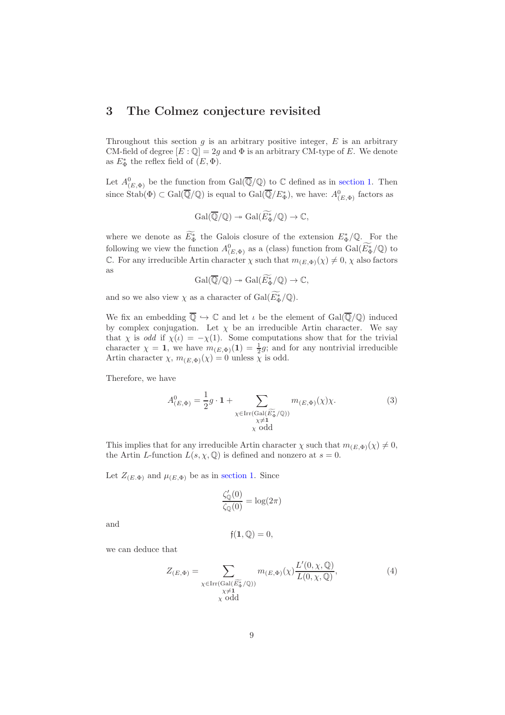### <span id="page-8-0"></span>3 The Colmez conjecture revisited

Throughout this section  $g$  is an arbitrary positive integer,  $E$  is an arbitrary CM-field of degree  $[E:\mathbb{Q}]=2g$  and  $\Phi$  is an arbitrary CM-type of E. We denote as  $E_{\Phi}^*$  the reflex field of  $(E, \Phi)$ .

Let  $A^0_{(E,\Phi)}$  be the function from Gal $(\overline{\mathbb{Q}}/\mathbb{Q})$  to  $\mathbb C$  defined as in [section 1.](#page-1-0) Then since  $\text{Stab}(\Phi) \subset \text{Gal}(\overline{\mathbb{Q}}/\mathbb{Q})$  is equal to  $\text{Gal}(\overline{\mathbb{Q}}/E^*_{\Phi})$ , we have:  $A^0_{(E,\Phi)}$  factors as

$$
\operatorname{Gal}(\overline{\mathbb{Q}}/\mathbb{Q}) \twoheadrightarrow \operatorname{Gal}(\widetilde{E_{\Phi}^*}/\mathbb{Q}) \to \mathbb{C},
$$

where we denote as  $E_{\Phi}^*$  the Galois closure of the extension  $E_{\Phi}^*/\mathbb{Q}$ . For the following we view the function  $A^0_{(E, \Phi)}$  as a (class) function from  $Gal(\widetilde{E_{\Phi}}/\mathbb{Q})$  to C. For any irreducible Artin character  $\chi$  such that  $m_{(E,\Phi)}(\chi) \neq 0, \chi$  also factors as

$$
\operatorname{Gal}(\overline{\mathbb{Q}}/\mathbb{Q}) \twoheadrightarrow \operatorname{Gal}(\widetilde{E_{\Phi}^*}/\mathbb{Q}) \to \mathbb{C},
$$

and so we also view  $\chi$  as a character of  $Gal(E_{\Phi}^*/\mathbb{Q})$ .

We fix an embedding  $\overline{\mathbb{Q}} \hookrightarrow \mathbb{C}$  and let  $\iota$  be the element of  $Gal(\overline{\mathbb{Q}}/\mathbb{Q})$  induced by complex conjugation. Let  $\chi$  be an irreducible Artin character. We say that  $\chi$  is *odd* if  $\chi(\iota) = -\chi(1)$ . Some computations show that for the trivial character  $\chi = 1$ , we have  $m_{(E,\Phi)}(1) = \frac{1}{2}g$ ; and for any nontrivial irreducible Artin character  $\chi$ ,  $m_{(E,\Phi)}(\chi) = 0$  unless  $\overline{\chi}$  is odd.

Therefore, we have

$$
A^{0}_{(E,\Phi)} = \frac{1}{2}g \cdot \mathbf{1} + \sum_{\substack{\chi \in \text{Irr}(\text{Gal}(\widetilde{E_{\Phi}}^{\chi}/\mathbb{Q})) \\ \chi \neq \mathbf{1} \\ \chi \text{ odd}}} m_{(E,\Phi)}(\chi)\chi.
$$
 (3)

This implies that for any irreducible Artin character  $\chi$  such that  $m_{(E,\Phi)}(\chi) \neq 0$ , the Artin L-function  $L(s, \chi, \mathbb{Q})$  is defined and nonzero at  $s = 0$ .

Let  $Z_{(E,\Phi)}$  and  $\mu_{(E,\Phi)}$  be as in [section 1.](#page-1-0) Since

$$
\frac{\zeta_{\mathbb{Q}}'(0)}{\zeta_{\mathbb{Q}}(0)} = \log(2\pi)
$$

and

$$
\mathfrak{f}(\mathbf{1},\mathbb{Q})=0,
$$

we can deduce that

$$
Z_{(E,\Phi)} = \sum_{\substack{\chi \in \text{Irr}(\text{Gal}(\widetilde{E_{\Phi}^*}/\mathbb{Q})) \\ \chi \neq 1 \\ \chi \text{ odd}}} m_{(E,\Phi)}(\chi) \frac{L'(0,\chi,\mathbb{Q})}{L(0,\chi,\mathbb{Q})},\tag{4}
$$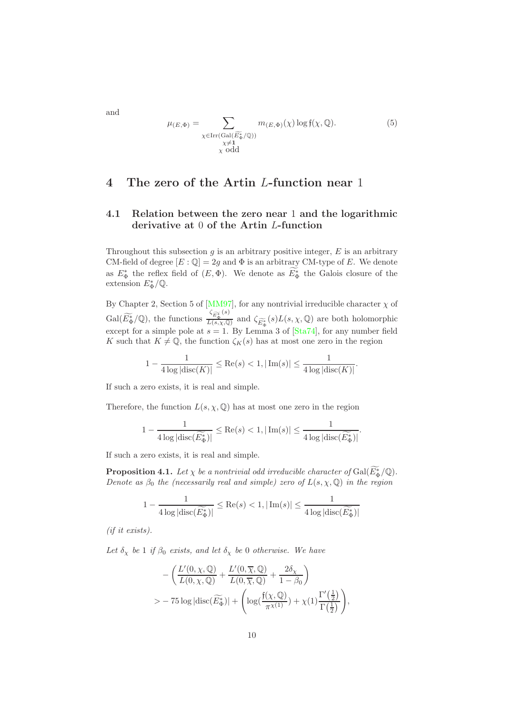$\mu_{(E,\Phi)} = \sum$  $\chi \in \text{Irr}(\text{Gal}(\widetilde{E_{\Phi}^*}/\mathbb{Q}))$ <br> $\chi \neq \mathbf{1}$ χ odd  $m_{(E,\Phi)}(\chi) \log f(\chi,\mathbb{Q}).$  (5)

### <span id="page-9-1"></span><span id="page-9-0"></span>4 The zero of the Artin L-function near 1

#### 4.1 Relation between the zero near 1 and the logarithmic derivative at 0 of the Artin L-function

Throughout this subsection  $g$  is an arbitrary positive integer,  $E$  is an arbitrary CM-field of degree  $[E : \mathbb{Q}] = 2g$  and  $\Phi$  is an arbitrary CM-type of E. We denote as  $E_{\Phi}^*$  the reflex field of  $(E, \Phi)$ . We denote as  $\overline{E_{\Phi}^*}$  the Galois closure of the extension  $E_{\Phi}^*/\mathbb{Q}$ .

By Chapter 2, Section 5 of [\[MM97\]](#page-31-2), for any nontrivial irreducible character  $\chi$  of  $Gal(\widetilde{E_{\Phi}^*}/\mathbb{Q}),$  the functions  $\frac{\zeta_{\widetilde{E_{\Phi}^*}}(s)}{L(s,\chi,\mathbb{Q})}$  $\frac{L_{\mathcal{L}_{\Phi}}}{L(s,\chi,\mathbb{Q})}$  and  $\zeta_{\widetilde{E_{\Phi}^*}}(s)L(s,\chi,\mathbb{Q})$  are both holomorphic except for a simple pole at  $s = 1$ . By Lemma 3 of  $[Sta74]$ , for any number field K such that  $K \neq \mathbb{Q}$ , the function  $\zeta_K(s)$  has at most one zero in the region

$$
1 - \frac{1}{4 \log |\text{disc}(K)|} \le \text{Re}(s) < 1, |\text{Im}(s)| \le \frac{1}{4 \log |\text{disc}(K)|}.
$$

If such a zero exists, it is real and simple.

Therefore, the function  $L(s, \chi, \mathbb{Q})$  has at most one zero in the region

$$
1 - \frac{1}{4 \log|\mathrm{disc}(\widetilde{E_{\Phi}^*})|} \leq \mathrm{Re}(s) < 1, |\mathrm{Im}(s)| \leq \frac{1}{4 \log|\mathrm{disc}(\widetilde{E_{\Phi}^*})|}.
$$

If such a zero exists, it is real and simple.

<span id="page-9-2"></span>**Proposition 4.1.** Let  $\chi$  be a nontrivial odd irreducible character of  $Gal(E_{\Phi}^*/\mathbb{Q})$ . Denote as  $\beta_0$  the (necessarily real and simple) zero of  $L(s, \chi, \mathbb{Q})$  in the region

$$
1 - \frac{1}{4 \log|\text{disc}(\widetilde{E_{\Phi}^*})|} \le \text{Re}(s) < 1, |\text{Im}(s)| \le \frac{1}{4 \log|\text{disc}(\widetilde{E_{\Phi}^*})|}
$$

(if it exists).

Let  $\delta_{\chi}$  be 1 if  $\beta_0$  exists, and let  $\delta_{\chi}$  be 0 otherwise. We have

$$
-\left(\frac{L'(0,\chi,\mathbb{Q})}{L(0,\chi,\mathbb{Q})}+\frac{L'(0,\overline{\chi},\mathbb{Q})}{L(0,\overline{\chi},\mathbb{Q})}+\frac{2\delta_{\chi}}{1-\beta_{0}}\right) >-75\log|\text{disc}(\widetilde{E_{\Phi}^*})|+\left(\log(\frac{f(\chi,\mathbb{Q})}{\pi^{\chi(1)}})+\chi(1)\frac{\Gamma'(\frac{1}{2})}{\Gamma(\frac{1}{2})}\right),
$$

and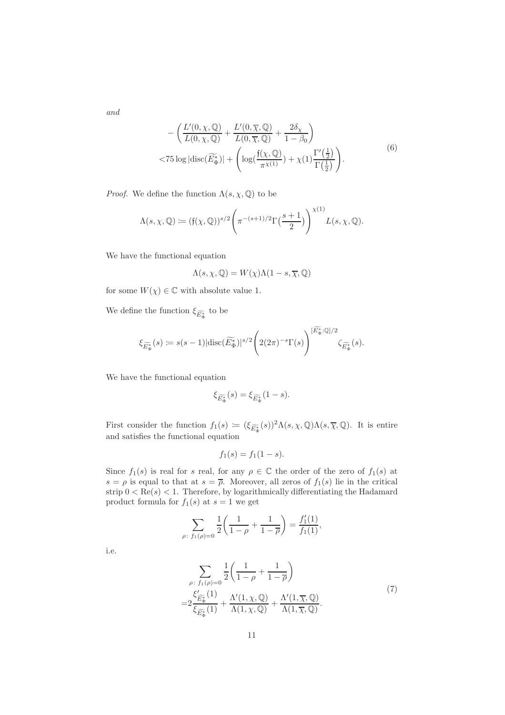<span id="page-10-0"></span>and

$$
-\left(\frac{L'(0,\chi,\mathbb{Q})}{L(0,\chi,\mathbb{Q})} + \frac{L'(0,\overline{\chi},\mathbb{Q})}{L(0,\overline{\chi},\mathbb{Q})} + \frac{2\delta_{\chi}}{1-\beta_{0}}\right)
$$
  
< 75 log |disc( $\widetilde{E}_{\Phi}^{*}$ )| +  $\left(log(\frac{f(\chi,\mathbb{Q})}{\pi^{\chi(1)}}) + \chi(1)\frac{\Gamma'(\frac{1}{2})}{\Gamma(\frac{1}{2})}\right)$ . (6)

*Proof.* We define the function  $\Lambda(s, \chi, \mathbb{Q})$  to be

$$
\Lambda(s,\chi,\mathbb{Q}) \coloneqq (\mathfrak{f}(\chi,\mathbb{Q}))^{s/2} \left(\pi^{-(s+1)/2} \Gamma\left(\frac{s+1}{2}\right)\right)^{\chi(1)} L(s,\chi,\mathbb{Q}).
$$

We have the functional equation

$$
\Lambda(s, \chi, \mathbb{Q}) = W(\chi)\Lambda(1-s, \overline{\chi}, \mathbb{Q})
$$

for some  $W(\chi) \in \mathbb{C}$  with absolute value 1.

We define the function  $\xi_{\widetilde{E_{\Phi}^*}}$  to be

$$
\xi_{\widetilde{E_{\Phi}^*}}(s) \coloneqq s(s-1)|\mathrm{disc}(\widetilde{E_{\Phi}^*})|^{s/2} \Bigg(2(2\pi)^{-s}\Gamma(s)\Bigg)^{[\widetilde{E_{\Phi}^*}:\mathbb{Q}]/2} \zeta_{\widetilde{E_{\Phi}^*}}(s).
$$

We have the functional equation

$$
\xi_{\widetilde{E_{\Phi}^*}}(s) = \xi_{\widetilde{E_{\Phi}^*}}(1-s).
$$

First consider the function  $f_1(s) := (\xi_{\widetilde{E}_{\Phi}^*}(s))^2 \Lambda(s, \chi, \mathbb{Q}) \Lambda(s, \overline{\chi}, \mathbb{Q})$ . It is entire and satisfies the functional equation

$$
f_1(s) = f_1(1 - s).
$$

Since  $f_1(s)$  is real for s real, for any  $\rho \in \mathbb{C}$  the order of the zero of  $f_1(s)$  at  $s = \rho$  is equal to that at  $s = \overline{\rho}$ . Moreover, all zeros of  $f_1(s)$  lie in the critical strip  $0 < \text{Re}(s) < 1$ . Therefore, by logarithmically differentiating the Hadamard product formula for  $f_1(s)$  at  $s = 1$  we get

$$
\sum_{\rho \colon f_1(\rho) = 0} \frac{1}{2} \left( \frac{1}{1 - \rho} + \frac{1}{1 - \overline{\rho}} \right) = \frac{f_1'(1)}{f_1(1)},
$$

i.e.

$$
\sum_{\rho:\ f_1(\rho)=0} \frac{1}{2} \left( \frac{1}{1-\rho} + \frac{1}{1-\overline{\rho}} \right)
$$
\n
$$
= 2 \frac{\xi_{\widetilde{\mathcal{E}}_{\Phi}^*}'(1)}{\xi_{\widetilde{\mathcal{E}}_{\Phi}^*}(1)} + \frac{\Lambda'(1,\chi,\mathbb{Q})}{\Lambda(1,\chi,\mathbb{Q})} + \frac{\Lambda'(1,\overline{\chi},\mathbb{Q})}{\Lambda(1,\overline{\chi},\mathbb{Q})}.
$$
\n(7)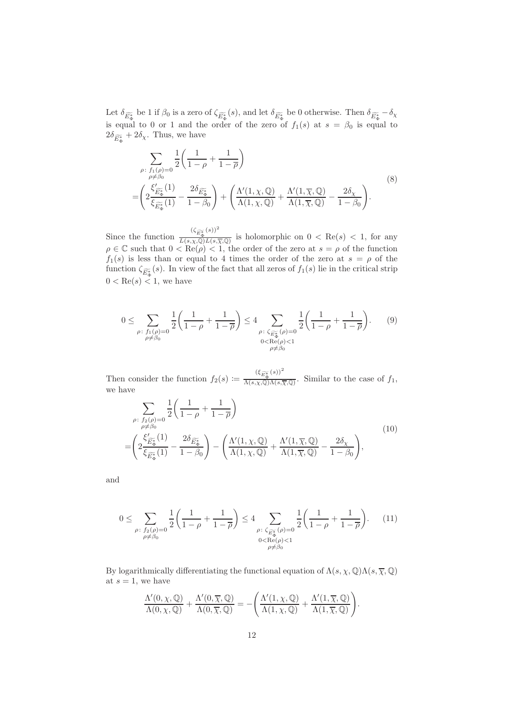Let  $\delta_{\widetilde{E_{\Phi}^*}}$  be 1 if  $\beta_0$  is a zero of  $\zeta_{\widetilde{E_{\Phi}^*}}(s)$ , and let  $\delta_{\widetilde{E_{\Phi}^*}}$  be 0 otherwise. Then  $\delta_{\widetilde{E_{\Phi}^*}} - \delta_{\chi}$ is equal to 0 or 1 and the order of the zero of  $f_1(s)$  at  $s = \beta_0$  is equal to  $2\delta_{\widetilde{E_{\Phi}^*}} + 2\delta_{\chi}$ . Thus, we have

<span id="page-11-0"></span>
$$
\sum_{\substack{\rho:\ f_1(\rho)=0\\ \rho\neq\beta_0}}\frac{1}{2}\left(\frac{1}{1-\rho}+\frac{1}{1-\overline{\rho}}\right)
$$
\n
$$
=\left(2\frac{\xi_{\widetilde{E}_{\Phi}^*}^{\prime}(1)}{\xi_{\widetilde{E}_{\Phi}^*}(1)}-\frac{2\delta_{\widetilde{E}_{\Phi}^*}}{1-\beta_0}\right)+\left(\frac{\Lambda'(1,\chi,\mathbb{Q})}{\Lambda(1,\chi,\mathbb{Q})}+\frac{\Lambda'(1,\overline{\chi},\mathbb{Q})}{\Lambda(1,\overline{\chi},\mathbb{Q})}-\frac{2\delta_{\chi}}{1-\beta_0}\right).
$$
\n(8)

Since the function  $\frac{(\zeta_{\widetilde{E_{\Phi}^*}}(s))^2}{\zeta_{\widetilde{E_{\Phi}^*}}(s)\zeta_{\widetilde{E_{\Phi}^*}}(s)}$  $\frac{E_{\Phi}}{L(s,\chi,\mathbb{Q})L(s,\overline{\chi},\mathbb{Q})}$  is holomorphic on  $0 < \text{Re}(s) < 1$ , for any  $\rho \in \mathbb{C}$  such that  $0 < \text{Re}(\rho) < 1$ , the order of the zero at  $s = \rho$  of the function  $f_1(s)$  is less than or equal to 4 times the order of the zero at  $s = \rho$  of the function  $\zeta_{\widetilde{E}_{\Phi}^{*}}(s)$ . In view of the fact that all zeros of  $f_1(s)$  lie in the critical strip  $0 < \text{Re}(s) < 1$ , we have

$$
0 \leq \sum_{\substack{\rho:\ f_1(\rho)=0 \\ \rho \neq \beta_0}} \frac{1}{2} \left( \frac{1}{1-\rho} + \frac{1}{1-\overline{\rho}} \right) \leq 4 \sum_{\substack{\rho:\ \zeta_{\overline{\rho}^*_{\Phi}}(\rho)=0 \\ 0 < \text{Re}(\rho) < 1 \\ \rho \neq \beta_0}} \frac{1}{2} \left( \frac{1}{1-\rho} + \frac{1}{1-\overline{\rho}} \right). \tag{9}
$$

Then consider the function  $f_2(s) \coloneqq \frac{(\xi_{\widetilde{E}_{\Phi}^*}(s))^2}{\Lambda(s,\chi,\mathbb{Q})\Lambda(s)}$  $\frac{E_{\Phi}}{\Lambda(s,\chi,\mathbb{Q})\Lambda(s,\overline{\chi},\mathbb{Q})}$ . Similar to the case of  $f_1$ , we have

<span id="page-11-1"></span>
$$
\sum_{\substack{\rho:\ f_2(\rho)=0\\ \rho\neq\beta_0}}\frac{1}{2}\left(\frac{1}{1-\rho}+\frac{1}{1-\overline{\rho}}\right)
$$
\n
$$
=\left(2\frac{\xi_{\widetilde{E}_{\Phi}^*}'(1)}{\xi_{\widetilde{E}_{\Phi}^*}(1)}-\frac{2\delta_{\widetilde{E}_{\Phi}^*}}{1-\beta_0}\right)-\left(\frac{\Lambda'(1,\chi,\mathbb{Q})}{\Lambda(1,\chi,\mathbb{Q})}+\frac{\Lambda'(1,\overline{\chi},\mathbb{Q})}{\Lambda(1,\overline{\chi},\mathbb{Q})}-\frac{2\delta_{\chi}}{1-\beta_0}\right),
$$
\n(10)

and

$$
0 \leq \sum_{\substack{\rho:\ f_2(\rho)=0\\ \rho \neq \beta_0}} \frac{1}{2} \left( \frac{1}{1-\rho} + \frac{1}{1-\overline{\rho}} \right) \leq 4 \sum_{\substack{\rho:\ \zeta_{\overline{\mathcal{D}^*}}(\rho)=0\\ 0 \leq \text{Re}(\rho) < 1}} \frac{1}{2} \left( \frac{1}{1-\rho} + \frac{1}{1-\overline{\rho}} \right). \tag{11}
$$

By logarithmically differentiating the functional equation of  $\Lambda(s, \chi, \mathbb{Q})\Lambda(s, \overline{\chi}, \mathbb{Q})$ at  $s = 1$ , we have

$$
\frac{\Lambda'(0,\chi,\mathbb{Q})}{\Lambda(0,\chi,\mathbb{Q})} + \frac{\Lambda'(0,\overline{\chi},\mathbb{Q})}{\Lambda(0,\overline{\chi},\mathbb{Q})} = -\left(\frac{\Lambda'(1,\chi,\mathbb{Q})}{\Lambda(1,\chi,\mathbb{Q})} + \frac{\Lambda'(1,\overline{\chi},\mathbb{Q})}{\Lambda(1,\overline{\chi},\mathbb{Q})}\right).
$$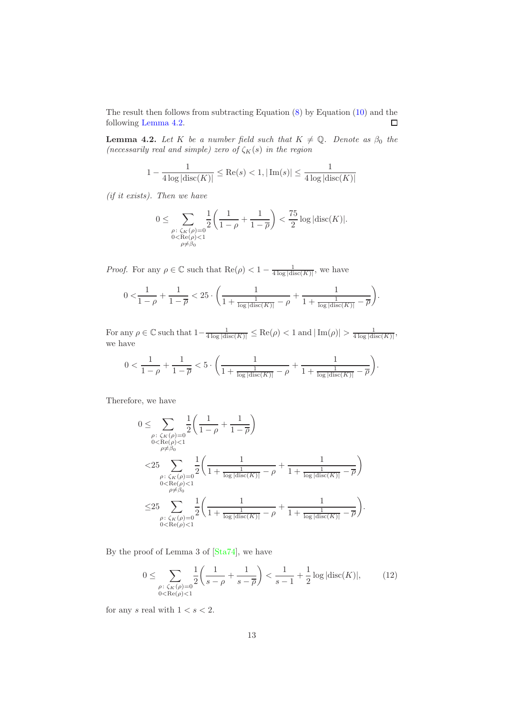The result then follows from subtracting Equation [\(8\)](#page-11-0) by Equation [\(10\)](#page-11-1) and the following [Lemma 4.2.](#page-12-0)  $\Box$ 

<span id="page-12-0"></span>**Lemma 4.2.** Let K be a number field such that  $K \neq \mathbb{Q}$ . Denote as  $\beta_0$  the (necessarily real and simple) zero of  $\zeta_K(s)$  in the region

$$
1 - \frac{1}{4 \log |\text{disc}(K)|} \le \text{Re}(s) < 1, |\text{Im}(s)| \le \frac{1}{4 \log |\text{disc}(K)|}
$$

(if it exists). Then we have

$$
0\leq \sum_{\substack{\rho:\ \zeta_K(\rho)=0\\0<\mathrm{Re}(\rho)<1\\ \rho\neq\beta_0}}\frac{1}{2}\bigg(\frac{1}{1-\rho}+\frac{1}{1-\overline{\rho}}\bigg)<\frac{75}{2}\log|\mathrm{disc}(K)|.
$$

*Proof.* For any  $\rho \in \mathbb{C}$  such that  $\text{Re}(\rho) < 1 - \frac{1}{4 \log |\text{disc}(K)|}$ , we have

$$
0 < \frac{1}{1-\rho} + \frac{1}{1-\overline{\rho}} < 25 \cdot \left( \frac{1}{1 + \frac{1}{\log|\mathrm{disc}(K)|} - \rho} + \frac{1}{1 + \frac{1}{\log|\mathrm{disc}(K)|} - \overline{\rho}} \right).
$$

For any  $\rho \in \mathbb{C}$  such that  $1-\frac{1}{4 \log|\text{disc}(K)|} \leq \text{Re}(\rho) < 1$  and  $|\text{Im}(\rho)| > \frac{1}{4 \log|\text{disc}(K)|}$ , we have

$$
0<\frac{1}{1-\rho}+\frac{1}{1-\overline{\rho}}<5\cdot\bigg(\frac{1}{1+\frac{1}{\log|\mathrm{disc}(K)|}-\rho}+\frac{1}{1+\frac{1}{\log|\mathrm{disc}(K)|}-\overline{\rho}}\bigg).
$$

Therefore, we have

$$
0 \leq \sum_{\substack{\rho:\ \zeta_K(\rho)=0 \\ 0<\text{Re}(\rho)<1}} \frac{1}{2} \left( \frac{1}{1-\rho} + \frac{1}{1-\overline{\rho}} \right)
$$
  

$$
< 25 \sum_{\substack{\rho:\ \zeta_K(\rho)=0 \\ 0<\text{Re}(\rho)<1}} \frac{1}{2} \left( \frac{1}{1+\frac{1}{\log|\text{disc}(K)|}-\rho} + \frac{1}{1+\frac{1}{\log|\text{disc}(K)|}-\overline{\rho}} \right)
$$
  

$$
\leq 25 \sum_{\substack{\rho:\ \zeta_K(\rho)=0 \\ \rho:\ \zeta_K(\rho)=0}} \frac{1}{2} \left( \frac{1}{1+\frac{1}{\log|\text{disc}(K)|}-\rho} + \frac{1}{1+\frac{1}{\log|\text{disc}(K)|}-\overline{\rho}} \right).
$$
  

$$
0<\text{Re}(\rho)<1}
$$

By the proof of Lemma 3 of [\[Sta74\]](#page-31-1), we have

<span id="page-12-1"></span>
$$
0 \le \sum_{\substack{\rho:\ \zeta_K(\rho)=0\\0<\text{Re}(\rho)<1}} \frac{1}{2} \left( \frac{1}{s-\rho} + \frac{1}{s-\overline{\rho}} \right) < \frac{1}{s-1} + \frac{1}{2} \log|\text{disc}(K)|, \tag{12}
$$

for any s real with  $1 < s < 2$ .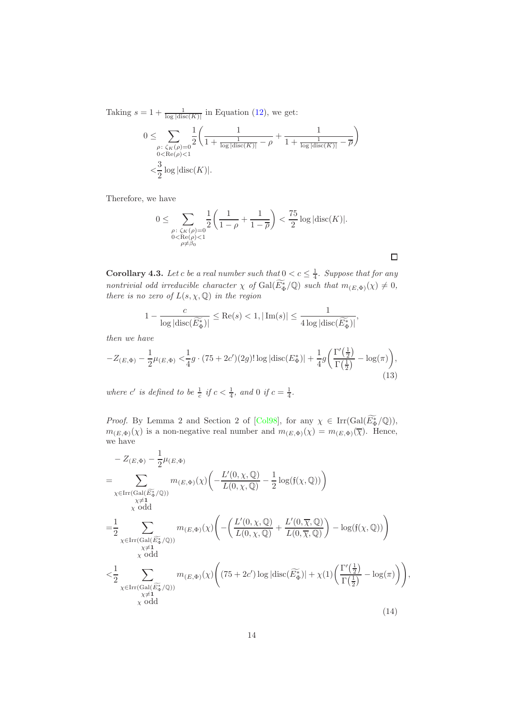Taking  $s = 1 + \frac{1}{\log|\text{disc}(K)|}$  in Equation [\(12\)](#page-12-1), we get:

$$
0 \leq \sum_{\substack{\rho:\ \zeta_K(\rho)=0\\0<\text{Re}(\rho)<1}} \frac{1}{2} \left( \frac{1}{1+\frac{1}{\log|\text{disc}(K)|} - \rho} + \frac{1}{1+\frac{1}{\log|\text{disc}(K)|} - \overline{\rho}} \right)
$$

$$
< \frac{3}{2} \log|\text{disc}(K)|.
$$

Therefore, we have

$$
0 \leq \sum_{\substack{\rho:\ \zeta_K(\rho)=0 \\ 0<\text{Re}(\rho)<1 \\ \rho \neq \beta_0}} \frac{1}{2} \left( \frac{1}{1-\rho} + \frac{1}{1-\overline{\rho}} \right) < \frac{75}{2} \log |\text{disc}(K)|.
$$

<span id="page-13-0"></span>**Corollary 4.3.** Let c be a real number such that  $0 < c \leq \frac{1}{4}$ . Suppose that for any nontrivial odd irreducible character  $\chi$  of  $Gal(E_{\Phi}^{*}/\mathbb{Q})$  such that  $m_{(E,\Phi)}(\chi) \neq 0$ , there is no zero of  $L(s, \chi, \mathbb{Q})$  in the region

$$
1 - \frac{c}{\log|\mathrm{disc}(\widetilde{E_{\Phi}^*})|} \leq \mathrm{Re}(s) < 1, |\mathrm{Im}(s)| \leq \frac{1}{4\log|\mathrm{disc}(\widetilde{E_{\Phi}^*})|},
$$

then we have

$$
-Z_{(E,\Phi)} - \frac{1}{2}\mu_{(E,\Phi)} \frac{1}{4}g \cdot (75 + 2c')(2g)!\log|\text{disc}(E_{\Phi}^{*})| + \frac{1}{4}g\bigg(\frac{\Gamma'(\frac{1}{2})}{\Gamma(\frac{1}{2})} - \log(\pi)\bigg),\tag{13}
$$

where c' is defined to be  $\frac{1}{c}$  if  $c < \frac{1}{4}$ , and 0 if  $c = \frac{1}{4}$ .

*Proof.* By Lemma 2 and Section 2 of [\[Col98\]](#page-30-1), for any  $\chi \in \text{Irr}(\text{Gal}(E_{\Phi}^*/\mathbb{Q}))$ ,  $m_{(E,\Phi)}(\chi)$  is a non-negative real number and  $m_{(E,\Phi)}(\chi) = m_{(E,\Phi)}(\overline{\chi})$ . Hence, we have

$$
- Z_{(E, \Phi)} - \frac{1}{2} \mu_{(E, \Phi)}
$$
\n
$$
= \sum_{\substack{\chi \in \text{Irr}(\text{Gal}(\widetilde{E}_{\Phi}^{\ast}/\mathbb{Q})) \\ \chi \neq 1}} m_{(E, \Phi)}(\chi) \left( -\frac{L'(0, \chi, \mathbb{Q})}{L(0, \chi, \mathbb{Q})} - \frac{1}{2} \log(f(\chi, \mathbb{Q})) \right)
$$
\n
$$
= \frac{1}{2} \sum_{\substack{\chi \in \text{Irr}(\text{Gal}(\widetilde{E}_{\Phi}^{\ast}/\mathbb{Q})) \\ \chi \neq 1 \\ \chi \text{ odd}}} m_{(E, \Phi)}(\chi) \left( -\left( \frac{L'(0, \chi, \mathbb{Q})}{L(0, \chi, \mathbb{Q})} + \frac{L'(0, \overline{\chi}, \mathbb{Q})}{L(0, \overline{\chi}, \mathbb{Q})} \right) - \log(f(\chi, \mathbb{Q})) \right)
$$
\n
$$
< \frac{1}{2} \sum_{\substack{\chi \in \text{Irr}(\text{Gal}(\widetilde{E}_{\Phi}^{\ast}/\mathbb{Q})) \\ \chi \neq 1 \\ \chi \text{ odd}}} m_{(E, \Phi)}(\chi) \left( (75 + 2c') \log |\text{disc}(\widetilde{E}_{\Phi}^{\ast})| + \chi(1) \left( \frac{\Gamma'(\frac{1}{2})}{\Gamma(\frac{1}{2})} - \log(\pi) \right) \right), \tag{14}
$$

 $\Box$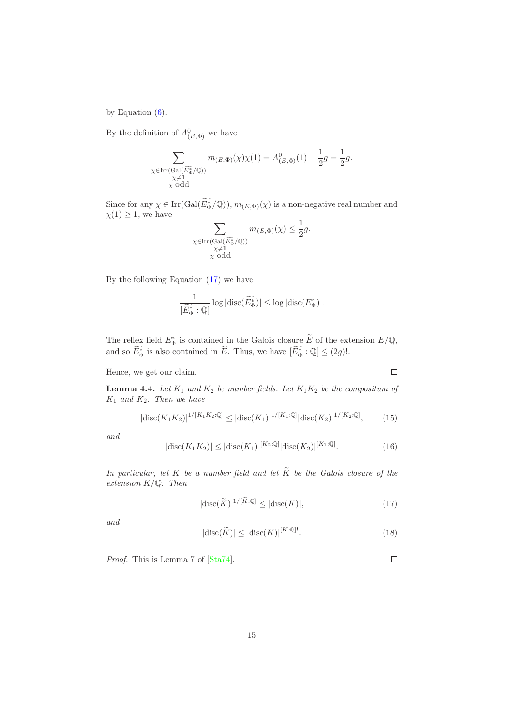by Equation  $(6)$ .

By the definition of  $A^0_{(E,\Phi)}$  we have

$$
\sum_{\substack{\chi \in \text{Irr}(\text{Gal}(\widetilde{E_{\Phi}^*/\mathbb{Q}}))\\\chi \neq 1 \\ \chi \text{ odd}}} m_{(E,\Phi)}(\chi) \chi(1) = A^0_{(E,\Phi)}(1) - \frac{1}{2}g = \frac{1}{2}g.
$$

Since for any  $\chi \in \text{Irr}(\text{Gal}(E^*_{\Phi}/\mathbb{Q}))$ ,  $m_{(E,\Phi)}(\chi)$  is a non-negative real number and  $\chi(1) \geq 1$ , we have

$$
\sum_{\substack{\chi \in \text{Irr}(\text{Gal}(\widetilde{E_{\Phi}^*}/\mathbb{Q})) \\ \chi \neq 1 \\ \chi \text{ odd}}} m_{(E, \Phi)}(\chi) \leq \frac{1}{2}g.
$$

By the following Equation [\(17\)](#page-14-0) we have

$$
\frac{1}{[\widetilde{E_{\Phi}^*}: \mathbb{Q}]} \log |\mathrm{disc}(\widetilde{E_{\Phi}^*})| \le \log |\mathrm{disc}(E_{\Phi}^*)|.
$$

The reflex field  $E_{\Phi}^*$  is contained in the Galois closure  $\tilde{E}$  of the extension  $E/\mathbb{Q}$ , and so  $E^*_{\Phi}$  is also contained in  $E$ . Thus, we have  $[E^*_{\Phi} : \mathbb{Q}] \leq (2g)!$ .

Hence, we get our claim.

**Lemma 4.4.** Let  $K_1$  and  $K_2$  be number fields. Let  $K_1K_2$  be the compositum of  $K_1$  and  $K_2$ . Then we have

<span id="page-14-1"></span>
$$
|\text{disc}(K_1K_2)|^{1/[K_1K_2:\mathbb{Q}]} \le |\text{disc}(K_1)|^{1/[K_1:\mathbb{Q}]} |\text{disc}(K_2)|^{1/[K_2:\mathbb{Q}]},\tag{15}
$$

and

<span id="page-14-2"></span>
$$
|disc(K_1 K_2)| \le |disc(K_1)|^{[K_2:\mathbb{Q}]} |disc(K_2)|^{[K_1:\mathbb{Q}]}.
$$
\n(16)

In particular, let K be a number field and let  $\widetilde{K}$  be the Galois closure of the extension  $K/\mathbb{Q}$ . Then

<span id="page-14-0"></span>
$$
|\text{disc}(\widetilde{K})|^{1/[\widetilde{K}:\mathbb{Q}]} \le |\text{disc}(K)|,\tag{17}
$$

 $\Box$ 

 $\Box$ 

and

$$
|\text{disc}(\widetilde{K})| \le |\text{disc}(K)|^{[K:\mathbb{Q}]}.
$$
\n(18)

Proof. This is Lemma 7 of [\[Sta74\]](#page-31-1).

15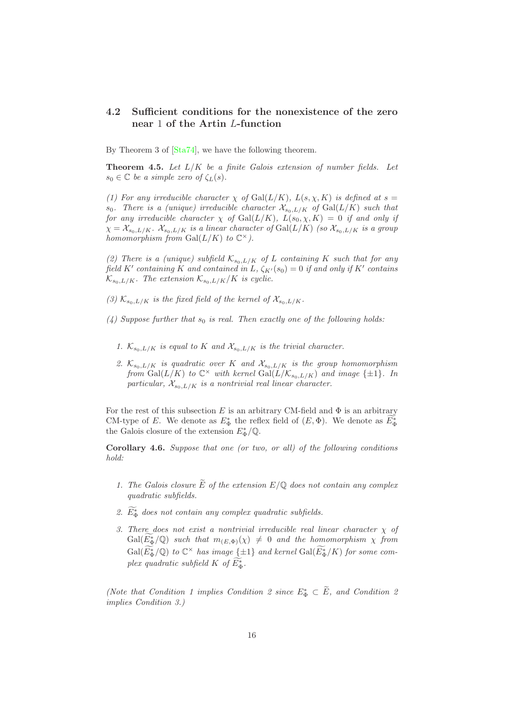#### <span id="page-15-0"></span>4.2 Sufficient conditions for the nonexistence of the zero near 1 of the Artin L-function

By Theorem 3 of  $[Sta74]$ , we have the following theorem.

<span id="page-15-1"></span>**Theorem 4.5.** Let  $L/K$  be a finite Galois extension of number fields. Let  $s_0 \in \mathbb{C}$  be a simple zero of  $\zeta_L(s)$ .

(1) For any irreducible character  $\chi$  of Gal( $L/K$ ),  $L(s, \chi, K)$  is defined at  $s =$ s<sub>0</sub>. There is a (unique) irreducible character  $\mathcal{X}_{s_0,L/K}$  of  $Gal(L/K)$  such that for any irreducible character  $\chi$  of  $Gal(L/K)$ ,  $L(s_0, \chi, K) = 0$  if and only if  $\chi = \chi_{s_0,L/K}$ .  $\chi_{s_0,L/K}$  is a linear character of  $Gal(L/K)$  (so  $\chi_{s_0,L/K}$  is a group homomorphism from  $Gal(L/K)$  to  $\mathbb{C}^{\times}$ ).

(2) There is a (unique) subfield  $K_{s_0,L/K}$  of L containing K such that for any field K' containing K and contained in L,  $\zeta_{K'}(s_0) = 0$  if and only if K' contains  $\mathcal{K}_{s_0,L/K}$ . The extension  $\mathcal{K}_{s_0,L/K}/K$  is cyclic.

- (3)  $\mathcal{K}_{s_0,L/K}$  is the fixed field of the kernel of  $\mathcal{X}_{s_0,L/K}$ .
- (4) Suppose further that  $s_0$  is real. Then exactly one of the following holds:
	- 1.  $\mathcal{K}_{s_0,L/K}$  is equal to K and  $\mathcal{X}_{s_0,L/K}$  is the trivial character.
	- 2.  $\mathcal{K}_{s_0,L/K}$  is quadratic over K and  $\mathcal{X}_{s_0,L/K}$  is the group homomorphism from  $Gal(L/K)$  to  $\mathbb{C}^{\times}$  with kernel  $Gal(L/\mathcal{K}_{s_0,L/K})$  and image  $\{\pm 1\}$ . In particular,  $\mathcal{X}_{s_0, L/K}$  is a nontrivial real linear character.

For the rest of this subsection E is an arbitrary CM-field and  $\Phi$  is an arbitrary CM-type of E. We denote as  $E_{\Phi}^*$  the reflex field of  $(E, \Phi)$ . We denote as  $E_{\Phi}^*$ the Galois closure of the extension  $E_{\Phi}^*/\mathbb{Q}$ .

<span id="page-15-2"></span>Corollary 4.6. Suppose that one (or two, or all) of the following conditions hold:

- 1. The Galois closure  $\widetilde{E}$  of the extension  $E/\mathbb{Q}$  does not contain any complex quadratic subfields.
- 2.  $E_{\Phi}^*$  does not contain any complex quadratic subfields.
- 3. There does not exist a nontrivial irreducible real linear character  $\chi$  of  $Gal(E_{\Phi}^{*}/\mathbb{Q})$  such that  $m_{(E,\Phi)}(\chi) \neq 0$  and the homomorphism  $\chi$  from  $Gal(E_{\Phi}^{*}/\mathbb{Q})$  to  $\mathbb{C}^{\times}$  has image  ${\{\pm 1\}}$  and kernel  $Gal(E_{\Phi}^{*}/K)$  for some complex quadratic subfield K of  $E^*_{\Phi}$ .

(Note that Condition 1 implies Condition 2 since  $E_{\Phi}^* \subset \tilde{E}$ , and Condition 2 implies Condition 3.)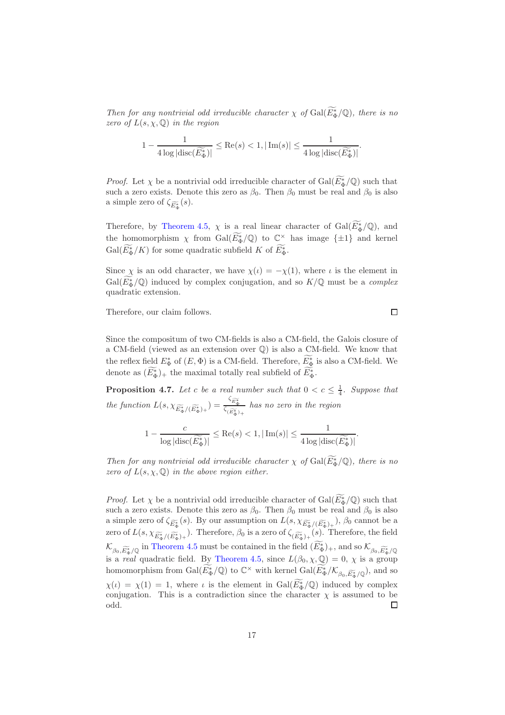Then for any nontrivial odd irreducible character  $\chi$  of  $Gal(E_{\Phi}^{*}/\mathbb{Q})$ , there is no zero of  $L(s, \chi, \mathbb{Q})$  in the region

$$
1 - \frac{1}{4 \log|\mathrm{disc}(\widetilde{E_{\Phi}^*})|} \leq \mathrm{Re}(s) < 1, |\mathrm{Im}(s)| \leq \frac{1}{4 \log|\mathrm{disc}(\widetilde{E_{\Phi}^*})|}.
$$

*Proof.* Let  $\chi$  be a nontrivial odd irreducible character of  $Gal(E_{\Phi}^{*}/\mathbb{Q})$  such that such a zero exists. Denote this zero as  $\beta_0$ . Then  $\beta_0$  must be real and  $\beta_0$  is also a simple zero of  $\zeta_{\widetilde{E_{\Phi}^*}}(s)$ .

Therefore, by [Theorem 4.5,](#page-15-1)  $\chi$  is a real linear character of Gal $(E_{\Phi}^{*}/\mathbb{Q})$ , and the homomorphism  $\chi$  from  $Gal(\widetilde{E_{\Phi}}/\mathbb{Q})$  to  $\mathbb{C}^{\times}$  has image  $\{\pm 1\}$  and kernel  $Gal(E_{\Phi}^*/K)$  for some quadratic subfield K of  $E_{\Phi}^*$ .

Since  $\chi$  is an odd character, we have  $\chi(\iota) = -\chi(1)$ , where  $\iota$  is the element in  $Gal(E_{\Phi}^*/\mathbb{Q})$  induced by complex conjugation, and so  $K/\mathbb{Q}$  must be a *complex* quadratic extension.

Therefore, our claim follows.

Since the compositum of two CM-fields is also a CM-field, the Galois closure of a CM-field (viewed as an extension over Q) is also a CM-field. We know that the reflex field  $E^*_{\Phi}$  of  $(E, \Phi)$  is a CM-field. Therefore,  $\overline{E^*_{\Phi}}$  is also a CM-field. We denote as  $(E_{\Phi}^*)_+$  the maximal totally real subfield of  $E_{\Phi}^*$ .

<span id="page-16-0"></span>**Proposition 4.7.** Let c be a real number such that  $0 < c \leq \frac{1}{4}$ . Suppose that the function  $L(s, \chi_{\widetilde{E_{\Phi}}^*/(\widetilde{E_{\Phi}}^*)_+}) = \frac{\zeta_{\widetilde{E_{\Phi}}^*}}{\zeta_{(\widetilde{E_{\Phi}}^*)_+}}$  has no zero in the region

$$
1 - \frac{c}{\log|\mathrm{disc}(\widetilde{E_{\Phi}^*)}|} \leq \mathrm{Re}(s) < 1, |\mathrm{Im}(s)| \leq \frac{1}{4\log|\mathrm{disc}(\widetilde{E_{\Phi}^*})|}.
$$

Then for any nontrivial odd irreducible character  $\chi$  of  $Gal(E_{\Phi}^{*}/\mathbb{Q})$ , there is no zero of  $L(s, \chi, \mathbb{Q})$  in the above region either.

*Proof.* Let  $\chi$  be a nontrivial odd irreducible character of  $Gal(E_{\Phi}^{*}/\mathbb{Q})$  such that such a zero exists. Denote this zero as  $\beta_0$ . Then  $\beta_0$  must be real and  $\beta_0$  is also a simple zero of  $\zeta_{\widetilde{E_{\Phi}^*}}(s)$ . By our assumption on  $L(s, \chi_{\widetilde{E_{\Phi}^*}/(\widetilde{E_{\Phi}^*})_+}), \beta_0$  cannot be a zero of  $L(s, \chi_{\widetilde{E_{\Phi}^*}/(\widetilde{E_{\Phi}^*})_+})$ . Therefore,  $\beta_0$  is a zero of  $\zeta_{(\widetilde{E_{\Phi}^*})_+}(s)$ . Therefore, the field  $\mathcal{K}_{\beta_0,\widetilde{E_{\Phi}}/\mathbb{Q}}$  in [Theorem 4.5](#page-15-1) must be contained in the field  $(E_{\Phi}^*)_+$ , and so  $\mathcal{K}_{\beta_0,\widetilde{E_{\Phi}}/\mathbb{Q}}$ is a *real* quadratic field. By [Theorem 4.5,](#page-15-1) since  $L(\beta_0, \chi, \mathbb{Q}) = 0$ ,  $\chi$  is a group homomorphism from  $Gal(\widetilde{E_{\Phi}}/\mathbb{Q})$  to  $\mathbb{C}^{\times}$  with kernel  $Gal(\widetilde{E_{\Phi}}^*/\mathcal{K}_{\beta_0,\widetilde{E_{\Phi}}^*/\mathbb{Q}})$ , and so  $\chi(\iota) = \chi(1) = 1$ , where  $\iota$  is the element in  $Gal(E_{\Phi}^{*}/\mathbb{Q})$  induced by complex conjugation. This is a contradiction since the character  $\chi$  is assumed to be  $\Box$ odd.

 $\Box$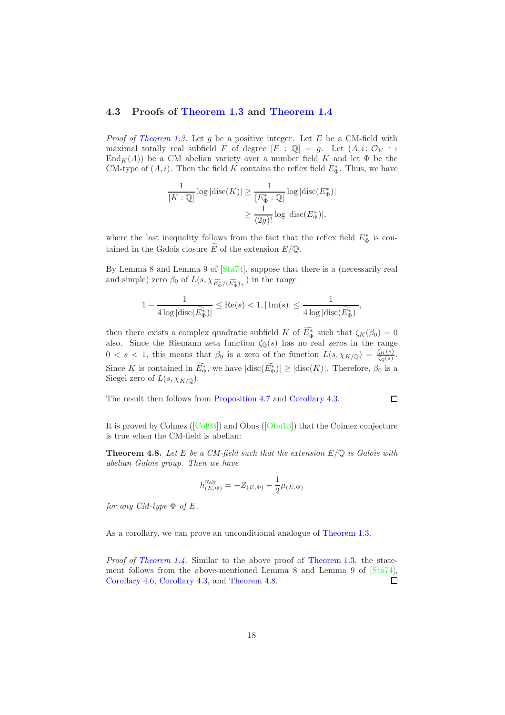#### <span id="page-17-0"></span>4.3 Proofs of [Theorem 1.3](#page-3-0) and [Theorem 1.4](#page-4-0)

*Proof of [Theorem 1.3.](#page-3-0)* Let g be a positive integer. Let E be a CM-field with maximal totally real subfield F of degree  $[F : \mathbb{Q}] = g$ . Let  $(A, i: \mathcal{O}_E \hookrightarrow$  $\text{End}_K(A)$ ) be a CM abelian variety over a number field K and let  $\Phi$  be the CM-type of  $(A, i)$ . Then the field K contains the reflex field  $E^*_{\Phi}$ . Thus, we have

$$
\frac{1}{[K:\mathbb{Q}]} \log |\text{disc}(K)| \ge \frac{1}{[E_{\Phi}^*:\mathbb{Q}]} \log |\text{disc}(E_{\Phi}^*)|
$$
  

$$
\ge \frac{1}{(2g)!} \log |\text{disc}(E_{\Phi}^*)|,
$$

where the last inequality follows from the fact that the reflex field  $E_{\Phi}^*$  is contained in the Galois closure  $\widetilde{E}$  of the extension  $E/\mathbb{Q}$ .

By Lemma 8 and Lemma 9 of  $[Sta74]$ , suppose that there is a (necessarily real and simple) zero  $\beta_0$  of  $L(s, \chi_{\widetilde{E_{\Phi}^*}/(\widetilde{E_{\Phi}^*})_+})$  in the range

$$
1 - \frac{1}{4 \log|\mathrm{disc}(\widetilde{E_{\Phi}^*})|} \leq \mathrm{Re}(s) < 1, |\mathrm{Im}(s)| \leq \frac{1}{4 \log|\mathrm{disc}(\widetilde{E_{\Phi}^*})|},
$$

then there exists a complex quadratic subfield K of  $E_{\Phi}^*$  such that  $\zeta_K(\beta_0) = 0$ also. Since the Riemann zeta function  $\zeta_{\mathbb{Q}}(s)$  has no real zeros in the range  $0 < s < 1$ , this means that  $\beta_0$  is a zero of the function  $L(s, \chi_{K/\mathbb{Q}}) = \frac{\zeta_K(s)}{\zeta_{\mathbb{Q}}(s)}$ . Since K is contained in  $E^*_{\Phi}$ , we have  $|\text{disc}(E^*_{\Phi})| \geq |\text{disc}(K)|$ . Therefore,  $\beta_0$  is a Siegel zero of  $L(s, \chi_{K/\mathbb{Q}})$ .

The result then follows from [Proposition 4.7](#page-16-0) and [Corollary 4.3.](#page-13-0)

$$
\qquad \qquad \Box
$$

It is proved by Colmez([\[Col93\]](#page-30-0)) and Obus([\[Obu13\]](#page-31-0)) that the Colmez conjecture is true when the CM-field is abelian:

<span id="page-17-1"></span>**Theorem 4.8.** Let E be a CM-field such that the extension  $E/\mathbb{Q}$  is Galois with abelian Galois group. Then we have

$$
h_{(E,\Phi)}^{\text{Falt}} = -Z_{(E,\Phi)} - \frac{1}{2}\mu_{(E,\Phi)}
$$

for any CM-type  $\Phi$  of E.

As a corollary, we can prove an unconditional analogue of [Theorem 1.3.](#page-3-0)

Proof of [Theorem 1.4.](#page-4-0) Similar to the above proof of [Theorem 1.3,](#page-3-0) the statement follows from the above-mentioned Lemma 8 and Lemma 9 of [\[Sta74\]](#page-31-1), [Corollary 4.6,](#page-15-2) [Corollary 4.3,](#page-13-0) and [Theorem 4.8.](#page-17-1)  $\Box$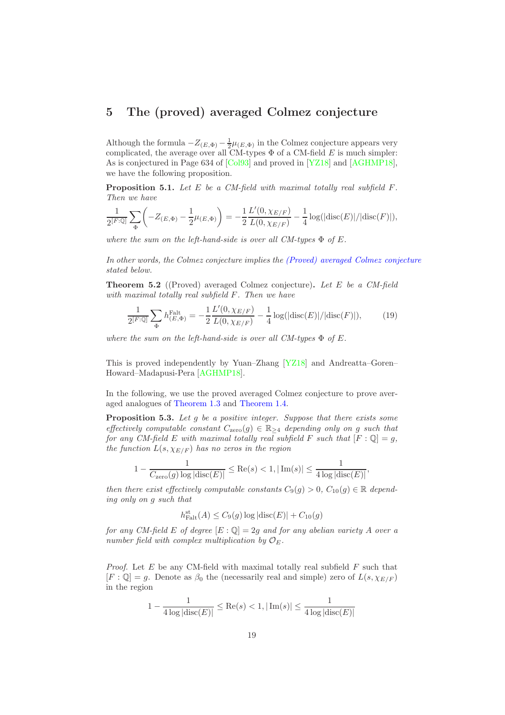### <span id="page-18-0"></span>5 The (proved) averaged Colmez conjecture

Although the formula  $-Z_{(E,\Phi)} - \frac{1}{2}\mu_{(E,\Phi)}$  in the Colmez conjecture appears very complicated, the average over all CM-types  $\Phi$  of a CM-field E is much simpler: As is conjectured in Page 634 of [\[Col93\]](#page-30-0) and proved in [\[YZ18\]](#page-32-1) and [\[AGHMP18\]](#page-29-1), we have the following proposition.

**Proposition 5.1.** Let E be a CM-field with maximal totally real subfield  $F$ . Then we have

$$
\frac{1}{2^{[F:\mathbb{Q}]}}\sum_{\Phi} \left( -Z_{(E,\Phi)} - \frac{1}{2}\mu_{(E,\Phi)} \right) = -\frac{1}{2} \frac{L'(0,\chi_{E/F})}{L(0,\chi_{E/F})} - \frac{1}{4} \log(|\text{disc}(E)|/|\text{disc}(F)|),
$$

where the sum on the left-hand-side is over all CM-types  $\Phi$  of E.

In other words, the Colmez conjecture implies the [\(Proved\) averaged Colmez conjecture](#page-18-1) stated below.

<span id="page-18-1"></span>**Theorem 5.2** ((Proved) averaged Colmez conjecture). Let E be a CM-field with maximal totally real subfield F. Then we have

<span id="page-18-3"></span>
$$
\frac{1}{2^{[F:\mathbb{Q}]}}\sum_{\Phi} h_{(E,\Phi)}^{\text{Falt}} = -\frac{1}{2} \frac{L'(0,\chi_{E/F})}{L(0,\chi_{E/F})} - \frac{1}{4} \log(|\text{disc}(E)|/|\text{disc}(F)|),\tag{19}
$$

where the sum on the left-hand-side is over all CM-types  $\Phi$  of E.

This is proved independently by Yuan–Zhang [\[YZ18\]](#page-32-1) and Andreatta–Goren– Howard–Madapusi-Pera [\[AGHMP18\]](#page-29-1).

In the following, we use the proved averaged Colmez conjecture to prove averaged analogues of [Theorem 1.3](#page-3-0) and [Theorem 1.4.](#page-4-0)

<span id="page-18-2"></span>**Proposition 5.3.** Let  $g$  be a positive integer. Suppose that there exists some effectively computable constant  $C_{\text{zero}}(g) \in \mathbb{R}_{\geq 4}$  depending only on g such that for any CM-field E with maximal totally real subfield F such that  $[F: \mathbb{Q}] = g$ , the function  $L(s, \chi_{E/F})$  has no zeros in the region

$$
1 - \frac{1}{C_{\text{zero}}(g) \log |\text{disc}(E)|} \le \text{Re}(s) < 1, |\text{Im}(s)| \le \frac{1}{4 \log |\text{disc}(E)|},
$$

then there exist effectively computable constants  $C_9(q) > 0$ ,  $C_{10}(q) \in \mathbb{R}$  depending only on g such that

$$
h_{\text{Falt}}^{\text{st}}(A) \leq C_9(g) \log|\text{disc}(E)| + C_{10}(g)
$$

for any CM-field E of degree  $[E:\mathbb{Q}]=2g$  and for any abelian variety A over a number field with complex multiplication by  $\mathcal{O}_E$ .

*Proof.* Let  $E$  be any CM-field with maximal totally real subfield  $F$  such that  $[F: \mathbb{Q}] = g$ . Denote as  $\beta_0$  the (necessarily real and simple) zero of  $L(s, \chi_{E/F})$ in the region

$$
1 - \frac{1}{4\log|\text{disc}(E)|} \le \text{Re}(s) < 1, |\text{Im}(s)| \le \frac{1}{4\log|\text{disc}(E)|}
$$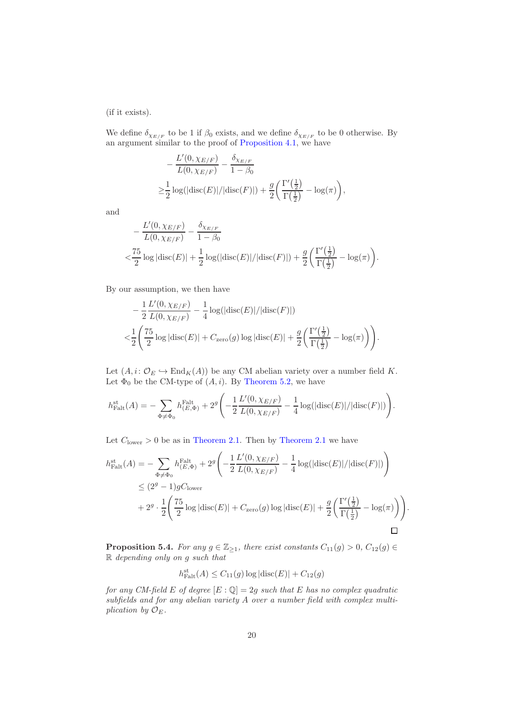(if it exists).

We define  $\delta_{\chi_{E/F}}$  to be 1 if  $\beta_0$  exists, and we define  $\delta_{\chi_{E/F}}$  to be 0 otherwise. By an argument similar to the proof of [Proposition 4.1,](#page-9-2) we have

$$
-\frac{L'(0, \chi_{E/F})}{L(0, \chi_{E/F})} - \frac{\delta_{\chi_{E/F}}}{1 - \beta_0}
$$
  
\n
$$
\geq \frac{1}{2} \log(|\text{disc}(E)|/|\text{disc}(F)|) + \frac{g}{2} \left( \frac{\Gamma'(\frac{1}{2})}{\Gamma(\frac{1}{2})} - \log(\pi) \right),
$$

and

$$
-\frac{L'(0, \chi_{E/F})}{L(0, \chi_{E/F})} - \frac{\delta_{\chi_{E/F}}}{1 - \beta_0}
$$
  

$$
< \frac{75}{2} \log |\text{disc}(E)| + \frac{1}{2} \log(|\text{disc}(E)|/|\text{disc}(F)|) + \frac{g}{2} \left( \frac{\Gamma'(\frac{1}{2})}{\Gamma(\frac{1}{2})} - \log(\pi) \right).
$$

By our assumption, we then have

$$
- \frac{1}{2} \frac{L'(0, \chi_{E/F})}{L(0, \chi_{E/F})} - \frac{1}{4} \log(|\text{disc}(E)| / |\text{disc}(F)|)
$$
  

$$
< \frac{1}{2} \left( \frac{75}{2} \log |\text{disc}(E)| + C_{\text{zero}}(g) \log |\text{disc}(E)| + \frac{g}{2} \left( \frac{\Gamma'(\frac{1}{2})}{\Gamma(\frac{1}{2})} - \log(\pi) \right) \right).
$$

Let  $(A, i: \mathcal{O}_E \hookrightarrow \text{End}_K(A))$  be any CM abelian variety over a number field K. Let  $\Phi_0$  be the CM-type of  $(A, i)$ . By [Theorem 5.2,](#page-18-1) we have

$$
h_{\text{Falt}}^{\text{st}}(A) = -\sum_{\Phi \neq \Phi_0} h_{(E,\Phi)}^{\text{Falt}} + 2^g \left( -\frac{1}{2} \frac{L'(0, \chi_{E/F})}{L(0, \chi_{E/F})} - \frac{1}{4} \log(|\text{disc}(E)| / |\text{disc}(F)|) \right).
$$

Let  $C_{\text{lower}} > 0$  be as in [Theorem 2.1.](#page-7-1) Then by [Theorem 2.1](#page-7-1) we have

 $\overline{ }$ 

$$
h_{\text{Falt}}^{\text{st}}(A) = -\sum_{\Phi \neq \Phi_0} h_{(E,\Phi)}^{\text{Falt}} + 2^g \left( -\frac{1}{2} \frac{L'(0, \chi_{E/F})}{L(0, \chi_{E/F})} - \frac{1}{4} \log(|\text{disc}(E)| / |\text{disc}(F)|) \right)
$$
  
\n
$$
\leq (2^g - 1) g C_{\text{lower}}
$$
  
\n
$$
+ 2^g \cdot \frac{1}{2} \left( \frac{75}{2} \log |\text{disc}(E)| + C_{\text{zero}}(g) \log |\text{disc}(E)| + \frac{g}{2} \left( \frac{\Gamma'(\frac{1}{2})}{\Gamma(\frac{1}{2})} - \log(\pi) \right) \right).
$$

<span id="page-19-0"></span>**Proposition 5.4.** For any  $g \in \mathbb{Z}_{\geq 1}$ , there exist constants  $C_{11}(g) > 0$ ,  $C_{12}(g) \in$ R depending only on g such that

$$
h_{\text{Falt}}^{\text{st}}(A) \leq C_{11}(g) \log|\text{disc}(E)| + C_{12}(g)
$$

for any CM-field E of degree  $[E:\mathbb{Q}]=2g$  such that E has no complex quadratic subfields and for any abelian variety A over a number field with complex multiplication by  $\mathcal{O}_E$ .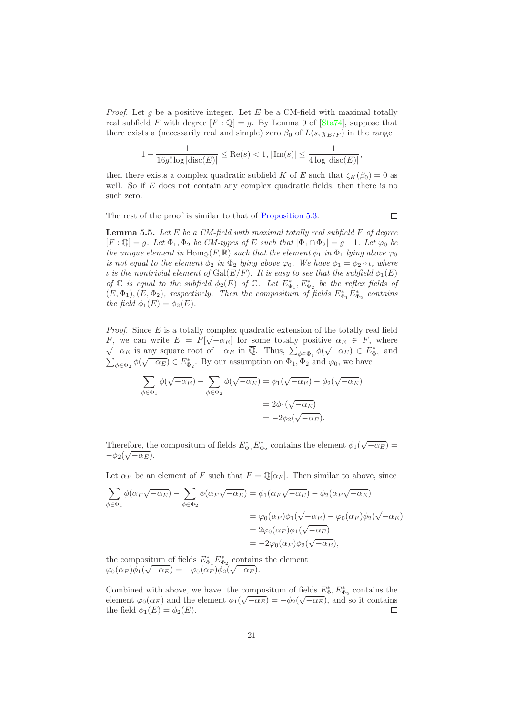*Proof.* Let g be a positive integer. Let E be a CM-field with maximal totally real subfield F with degree  $[F: \mathbb{Q}] = g$ . By Lemma 9 of  $[\text{Sta74}]$ , suppose that there exists a (necessarily real and simple) zero  $\beta_0$  of  $L(s, \chi_{E/F})$  in the range

$$
1 - \frac{1}{16g! \log |\text{disc}(E)|} \le \text{Re}(s) < 1, |\text{Im}(s)| \le \frac{1}{4 \log |\text{disc}(E)|},
$$

then there exists a complex quadratic subfield K of E such that  $\zeta_K(\beta_0) = 0$  as well. So if  $E$  does not contain any complex quadratic fields, then there is no such zero.

The rest of the proof is similar to that of [Proposition 5.3.](#page-18-2)

 $\Box$ 

<span id="page-20-0"></span>**Lemma 5.5.** Let  $E$  be a CM-field with maximal totally real subfield  $F$  of degree  $[F: \mathbb{Q}] = g$ . Let  $\Phi_1, \Phi_2$  be CM-types of E such that  $|\Phi_1 \cap \Phi_2| = g - 1$ . Let  $\varphi_0$  be the unique element in Hom<sub>Q</sub>(F, R) such that the element  $\phi_1$  in  $\Phi_1$  lying above  $\varphi_0$ is not equal to the element  $\phi_2$  in  $\Phi_2$  lying above  $\varphi_0$ . We have  $\phi_1 = \phi_2 \circ \iota$ , where *i* is the nontrivial element of  $Gal(E/F)$ . It is easy to see that the subfield  $\phi_1(E)$ of  $\mathbb C$  is equal to the subfield  $\phi_2(E)$  of  $\mathbb C$ . Let  $E_{\Phi_1}^*$ ,  $E_{\Phi_2}^*$  be the reflex fields of  $(E, \Phi_1), (E, \Phi_2)$ , respectively. Then the compositum of fields  $E_{\Phi_1}^* E_{\Phi_2}^*$  contains the field  $\phi_1(E) = \phi_2(E)$ .

*Proof.* Since  $E$  is a totally complex quadratic extension of the totally real field F, we can write  $E = F[\sqrt{-\alpha_E}]$  for some totally positive  $\alpha_E \in F$ , where  $\sqrt{-\alpha_E}$  is any square root of  $-\alpha_E$  in  $\overline{\mathbb{Q}}$ . Thus,  $\sum_{\phi \in \Phi_1}^{\infty} \phi(\sqrt{-\alpha_E}) \in E_{\Phi_1}^*$  and  $\sum_{\phi \in \Phi_2} \phi(\sqrt{-\alpha_E}) \in E^*_{\Phi_2}$ . By our assumption on  $\Phi_1, \Phi_2$  and  $\varphi_0$ , we have

$$
\sum_{\phi \in \Phi_1} \phi(\sqrt{-\alpha_E}) - \sum_{\phi \in \Phi_2} \phi(\sqrt{-\alpha_E}) = \phi_1(\sqrt{-\alpha_E}) - \phi_2(\sqrt{-\alpha_E})
$$

$$
= 2\phi_1(\sqrt{-\alpha_E})
$$

$$
= -2\phi_2(\sqrt{-\alpha_E}).
$$

Therefore, the compositum of fields  $E_{\Phi_1}^* E_{\Phi_2}^*$  contains the element  $\phi_1(\sqrt{-\alpha_E})$  =  $-\phi_2(\sqrt{-\alpha_E}).$ 

Let  $\alpha_F$  be an element of F such that  $F = \mathbb{Q}[\alpha_F]$ . Then similar to above, since

$$
\sum_{\phi \in \Phi_1} \phi(\alpha_F \sqrt{-\alpha_E}) - \sum_{\phi \in \Phi_2} \phi(\alpha_F \sqrt{-\alpha_E}) = \phi_1(\alpha_F \sqrt{-\alpha_E}) - \phi_2(\alpha_F \sqrt{-\alpha_E})
$$

$$
= \varphi_0(\alpha_F) \phi_1(\sqrt{-\alpha_E}) - \varphi_0(\alpha_F) \phi_2(\sqrt{-\alpha_E})
$$

$$
= 2\varphi_0(\alpha_F) \phi_1(\sqrt{-\alpha_E})
$$

$$
= -2\varphi_0(\alpha_F) \phi_2(\sqrt{-\alpha_E}),
$$

the compositum of fields  $E_{\Phi_1}^* E_{\Phi_2}^*$  contains the element  $\varphi_0(\alpha_F)\phi_1(\sqrt{-\alpha_E}) = -\varphi_0(\alpha_F)\phi_2(\sqrt{-\alpha_E}).$ 

Combined with above, we have: the compositum of fields  $E_{\Phi_1}^* E_{\Phi_2}^*$  contains the element  $\varphi_0(\alpha_F)$  and the element  $\phi_1(\sqrt{-\alpha_E}) = -\phi_2(\sqrt{-\alpha_E})$ , and so it contains the field  $\phi_1(E) = \phi_2(E)$ .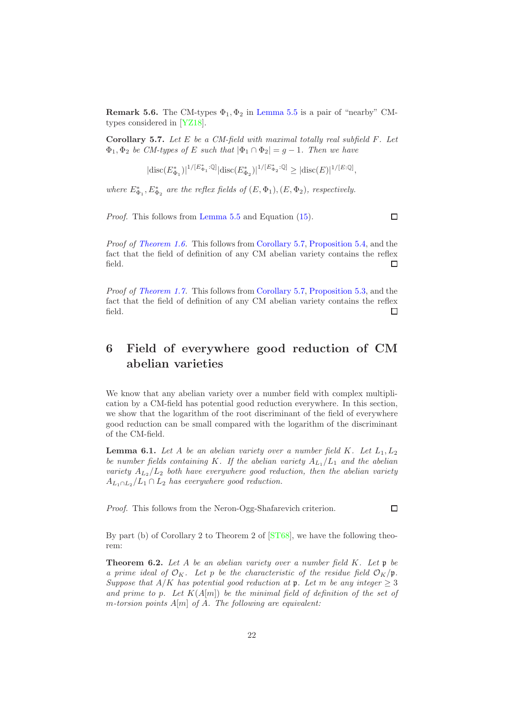**Remark 5.6.** The CM-types  $\Phi_1$ ,  $\Phi_2$  in [Lemma 5.5](#page-20-0) is a pair of "nearby" CMtypes considered in [\[YZ18\]](#page-32-1).

<span id="page-21-1"></span>**Corollary 5.7.** Let  $E$  be a CM-field with maximal totally real subfield  $F$ . Let  $\Phi_1, \Phi_2$  be CM-types of E such that  $|\Phi_1 \cap \Phi_2| = g - 1$ . Then we have

$$
|\mathrm{disc}(E_{\Phi_1}^*)|^{1/[E_{\Phi_1}^*:\mathbb{Q}]}|\mathrm{disc}(E_{\Phi_2}^*)|^{1/[E_{\Phi_2}^*:\mathbb{Q}]} \geq |\mathrm{disc}(E)|^{1/[E:\mathbb{Q}]},
$$

where  $E_{\Phi_1}^*, E_{\Phi_2}^*$  are the reflex fields of  $(E, \Phi_1), (E, \Phi_2)$ , respectively.

Proof. This follows from [Lemma 5.5](#page-20-0) and Equation [\(15\)](#page-14-1).

Proof of [Theorem 1.6.](#page-5-0) This follows from [Corollary 5.7,](#page-21-1) [Proposition 5.4,](#page-19-0) and the fact that the field of definition of any CM abelian variety contains the reflex field.  $\Box$ 

Proof of [Theorem 1.7.](#page-5-1) This follows from [Corollary 5.7,](#page-21-1) [Proposition 5.3,](#page-18-2) and the fact that the field of definition of any CM abelian variety contains the reflex field.  $\Box$ 

## <span id="page-21-0"></span>6 Field of everywhere good reduction of CM abelian varieties

We know that any abelian variety over a number field with complex multiplication by a CM-field has potential good reduction everywhere. In this section, we show that the logarithm of the root discriminant of the field of everywhere good reduction can be small compared with the logarithm of the discriminant of the CM-field.

<span id="page-21-3"></span>**Lemma 6.1.** Let A be an abelian variety over a number field K. Let  $L_1, L_2$ be number fields containing K. If the abelian variety  $A_{L_1}/L_1$  and the abelian variety  $A_{L_2}/L_2$  both have everywhere good reduction, then the abelian variety  $A_{L_1 \cap L_2}/L_1 \cap L_2$  has everywhere good reduction.

Proof. This follows from the Neron-Ogg-Shafarevich criterion.

By part (b) of Corollary 2 to Theorem 2 of [\[ST68\]](#page-31-3), we have the following theorem:

<span id="page-21-2"></span>**Theorem 6.2.** Let A be an abelian variety over a number field  $K$ . Let  $\mathfrak{p}$  be a prime ideal of  $\mathcal{O}_K$ . Let p be the characteristic of the residue field  $\mathcal{O}_K/\mathfrak{p}$ . Suppose that  $A/K$  has potential good reduction at p. Let m be any integer  $\geq 3$ and prime to p. Let  $K(A[m])$  be the minimal field of definition of the set of m-torsion points  $A[m]$  of A. The following are equivalent:

 $\Box$ 

 $\Box$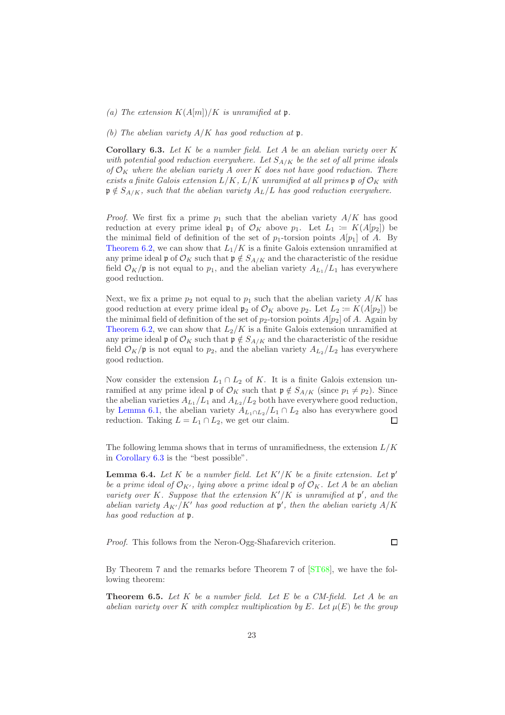(a) The extension  $K(A[m])/K$  is unramified at p.

(b) The abelian variety  $A/K$  has good reduction at p.

<span id="page-22-0"></span>**Corollary 6.3.** Let  $K$  be a number field. Let  $A$  be an abelian variety over  $K$ with potential good reduction everywhere. Let  $S_{A/K}$  be the set of all prime ideals of  $\mathcal{O}_K$  where the abelian variety A over K does not have good reduction. There exists a finite Galois extension  $L/K$ ,  $L/K$  unramified at all primes  $\mathfrak{p}$  of  $\mathcal{O}_K$  with  $\mathfrak{p} \notin S_{A/K}$ , such that the abelian variety  $A_L/L$  has good reduction everywhere.

*Proof.* We first fix a prime  $p_1$  such that the abelian variety  $A/K$  has good reduction at every prime ideal  $\mathfrak{p}_1$  of  $\mathcal{O}_K$  above  $p_1$ . Let  $L_1 := K(A[p_2])$  be the minimal field of definition of the set of  $p_1$ -torsion points  $A[p_1]$  of A. By [Theorem 6.2,](#page-21-2) we can show that  $L_1/K$  is a finite Galois extension unramified at any prime ideal  $\mathfrak{p}$  of  $\mathcal{O}_K$  such that  $\mathfrak{p} \notin S_{A/K}$  and the characteristic of the residue field  $\mathcal{O}_K/\mathfrak{p}$  is not equal to  $p_1$ , and the abelian variety  $A_{L_1}/L_1$  has everywhere good reduction.

Next, we fix a prime  $p_2$  not equal to  $p_1$  such that the abelian variety  $A/K$  has good reduction at every prime ideal  $\mathfrak{p}_2$  of  $\mathcal{O}_K$  above  $p_2$ . Let  $L_2 := K(A[p_2])$  be the minimal field of definition of the set of  $p_2$ -torsion points  $A[p_2]$  of A. Again by [Theorem 6.2,](#page-21-2) we can show that  $L_2/K$  is a finite Galois extension unramified at any prime ideal p of  $\mathcal{O}_K$  such that  $p \notin S_{A/K}$  and the characteristic of the residue field  $\mathcal{O}_K/\mathfrak{p}$  is not equal to  $p_2$ , and the abelian variety  $A_{L_2}/L_2$  has everywhere good reduction.

Now consider the extension  $L_1 \cap L_2$  of K. It is a finite Galois extension unramified at any prime ideal  $\mathfrak{p}$  of  $\mathcal{O}_K$  such that  $\mathfrak{p} \notin S_{A/K}$  (since  $p_1 \neq p_2$ ). Since the abelian varieties  $A_{L_1}/L_1$  and  $A_{L_2}/L_2$  both have everywhere good reduction, by [Lemma 6.1,](#page-21-3) the abelian variety  $A_{L_1 \cap L_2}/L_1 \cap L_2$  also has everywhere good reduction. Taking  $L = L_1 \cap L_2$ , we get our claim. reduction. Taking  $L = L_1 \cap L_2$ , we get our claim.

The following lemma shows that in terms of unramifiedness, the extension  $L/K$ in [Corollary 6.3](#page-22-0) is the "best possible".

**Lemma 6.4.** Let K be a number field. Let  $K'/K$  be a finite extension. Let  $\mathfrak{p}'$ be a prime ideal of  $\mathcal{O}_{K'}$ , lying above a prime ideal  $\mathfrak{p}$  of  $\mathcal{O}_K$ . Let A be an abelian variety over K. Suppose that the extension  $K'/K$  is unramified at  $\mathfrak{p}'$ , and the abelian variety  $A_{K'}/K'$  has good reduction at  $\mathfrak{p}'$ , then the abelian variety  $A/K$ has good reduction at  $\mathfrak p$ .

Proof. This follows from the Neron-Ogg-Shafarevich criterion.

By Theorem 7 and the remarks before Theorem 7 of [\[ST68\]](#page-31-3), we have the following theorem:

<span id="page-22-1"></span>**Theorem 6.5.** Let  $K$  be a number field. Let  $E$  be a CM-field. Let  $A$  be an abelian variety over K with complex multiplication by E. Let  $\mu(E)$  be the group

 $\Box$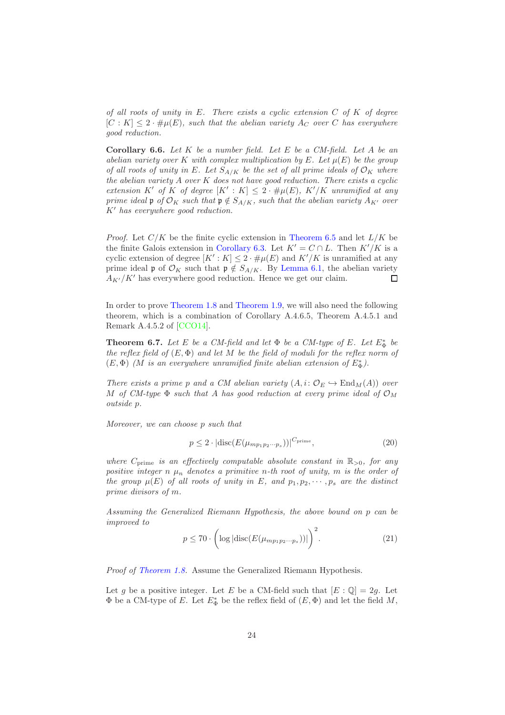of all roots of unity in  $E$ . There exists a cyclic extension  $C$  of  $K$  of degree  $[C: K] \leq 2 \cdot \# \mu(E)$ , such that the abelian variety  $A_C$  over C has everywhere good reduction.

<span id="page-23-2"></span>**Corollary 6.6.** Let  $K$  be a number field. Let  $E$  be a CM-field. Let  $A$  be an abelian variety over K with complex multiplication by E. Let  $\mu(E)$  be the group of all roots of unity in E. Let  $S_{A/K}$  be the set of all prime ideals of  $\mathcal{O}_K$  where the abelian variety A over K does not have good reduction. There exists a cyclic extension K' of K of degree  $[K': K] \leq 2 \cdot \# \mu(E)$ ,  $K'/K$  unramified at any prime ideal p of  $\mathcal{O}_K$  such that  $\mathfrak{p} \notin S_{A/K}$ , such that the abelian variety  $A_{K'}$  over  $K'$  has everywhere good reduction.

*Proof.* Let  $C/K$  be the finite cyclic extension in [Theorem 6.5](#page-22-1) and let  $L/K$  be the finite Galois extension in [Corollary 6.3.](#page-22-0) Let  $K' = C \cap L$ . Then  $K'/K$  is a cyclic extension of degree  $[K': K] \leq 2 \cdot \# \mu(E)$  and  $K'/K$  is unramified at any prime ideal  $\mathfrak p$  of  $\mathcal O_K$  such that  $\mathfrak p \notin S_{A/K}$ . By [Lemma 6.1,](#page-21-3) the abelian variety  $A_{K'}/K'$  has everywhere good reduction. Hence we get our claim.

In order to prove [Theorem 1.8](#page-6-0) and [Theorem 1.9,](#page-6-1) we will also need the following theorem, which is a combination of Corollary A.4.6.5, Theorem A.4.5.1 and Remark A.4.5.2 of [\[CCO14\]](#page-30-3).

<span id="page-23-0"></span>**Theorem 6.7.** Let E be a CM-field and let  $\Phi$  be a CM-type of E. Let  $E^*_{\Phi}$  be the reflex field of  $(E, \Phi)$  and let M be the field of moduli for the reflex norm of  $(E, \Phi)$  (M is an everywhere unramified finite abelian extension of  $E_{\Phi}^*$ ).

There exists a prime p and a CM abelian variety  $(A, i: \mathcal{O}_E \hookrightarrow \text{End}_M(A))$  over M of CM-type  $\Phi$  such that A has good reduction at every prime ideal of  $\mathcal{O}_M$ outside p.

Moreover, we can choose p such that

<span id="page-23-3"></span>
$$
p \le 2 \cdot |\operatorname{disc}(E(\mu_{mp_1p_2\cdots p_s}))|^{C_{\text{prime}}},\tag{20}
$$

where  $C_{\text{prime}}$  is an effectively computable absolute constant in  $\mathbb{R}_{>0}$ , for any positive integer n  $\mu_n$  denotes a primitive n-th root of unity, m is the order of the group  $\mu(E)$  of all roots of unity in E, and  $p_1, p_2, \dots, p_s$  are the distinct prime divisors of m.

Assuming the Generalized Riemann Hypothesis, the above bound on p can be improved to

<span id="page-23-1"></span>
$$
p \le 70 \cdot \left( \log |\operatorname{disc}(E(\mu_{mp_1p_2\cdots p_s}))| \right)^2. \tag{21}
$$

Proof of [Theorem 1.8.](#page-6-0) Assume the Generalized Riemann Hypothesis.

Let g be a positive integer. Let E be a CM-field such that  $[E:\mathbb{Q}]=2g$ . Let  $\Phi$  be a CM-type of E. Let  $E_{\Phi}^*$  be the reflex field of  $(E, \Phi)$  and let the field  $M$ ,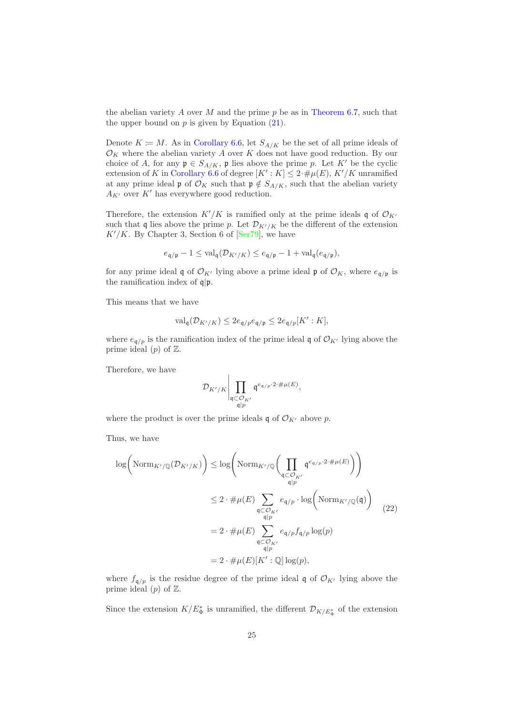the abelian variety A over M and the prime  $p$  be as in [Theorem 6.7,](#page-23-0) such that the upper bound on  $p$  is given by Equation  $(21)$ .

Denote  $K \coloneqq M$ . As in [Corollary 6.6,](#page-23-2) let  $S_{A/K}$  be the set of all prime ideals of  $\mathcal{O}_K$  where the abelian variety A over K does not have good reduction. By our choice of A, for any  $\mathfrak{p} \in S_{A/K}$ ,  $\mathfrak{p}$  lies above the prime p. Let K' be the cyclic extension of K in [Corollary 6.6](#page-23-2) of degree  $[K': K] \leq 2 \cdot \# \mu(E), K'/K$  unramified at any prime ideal p of  $\mathcal{O}_K$  such that  $\mathfrak{p} \notin S_{A/K}$ , such that the abelian variety  ${\cal A}_{K'}$  over  $K'$  has everywhere good reduction.

Therefore, the extension  $K'/K$  is ramified only at the prime ideals q of  $\mathcal{O}_{K'}$ such that q lies above the prime p. Let  $\mathcal{D}_{K'/K}$  be the different of the extension  $K'/K$ . By Chapter 3, Section 6 of [\[Ser79\]](#page-31-4), we have

$$
e_{\mathfrak{q}/\mathfrak{p}} - 1 \leq \operatorname{val}_{\mathfrak{q}}(\mathcal{D}_{K'/K}) \leq e_{\mathfrak{q}/\mathfrak{p}} - 1 + \operatorname{val}_{\mathfrak{q}}(e_{\mathfrak{q}/\mathfrak{p}}),
$$

for any prime ideal q of  $\mathcal{O}_{K'}$  lying above a prime ideal p of  $\mathcal{O}_K$ , where  $e_{\mathfrak{q}/\mathfrak{p}}$  is the ramification index of  $q|\mathfrak{p}$ .

This means that we have

$$
\text{val}_{\mathfrak{q}}(\mathcal{D}_{K'/K}) \leq 2e_{\mathfrak{q}/p}e_{\mathfrak{q}/\mathfrak{p}} \leq 2e_{\mathfrak{q}/p}[K':K],
$$

where  $e_{\mathfrak{q}/p}$  is the ramification index of the prime ideal q of  $\mathcal{O}_{K'}$  lying above the prime ideal  $(p)$  of  $\mathbb{Z}$ .

Therefore, we have

$$
\mathcal{D}_{K'/K}\Bigg|\prod_{\substack{\mathfrak{q}\subset\mathcal{O}_{K'}}\mathfrak{q}^{e_{\mathfrak{q}/p}\cdot 2\cdot\#\mu(E)},}
$$

where the product is over the prime ideals q of  $\mathcal{O}_{K'}$  above p.

Thus, we have

<span id="page-24-0"></span>
$$
\log\left(\text{Norm}_{K'/\mathbb{Q}}(\mathcal{D}_{K'/K})\right) \leq \log\left(\text{Norm}_{K'/\mathbb{Q}}\left(\prod_{\substack{\mathfrak{q}\subset\mathcal{O}_{K'}}\mathfrak{q}^{e_{\mathfrak{q}/p}\cdot 2\cdot\#\mu(E)\\\mathfrak{q}|p}}\mathfrak{q}^{e_{\mathfrak{q}/p}\cdot 2\cdot\#\mu(E)}\right)\right)
$$
\n
$$
\leq 2 \cdot \#\mu(E)\sum_{\substack{\mathfrak{q}\subset\mathcal{O}_{K'}}\mathfrak{q}|p}} e_{\mathfrak{q}/p} \cdot \log\left(\text{Norm}_{K'/\mathbb{Q}}(\mathfrak{q})\right)
$$
\n
$$
= 2 \cdot \#\mu(E)\sum_{\substack{\mathfrak{q}\subset\mathcal{O}_{K'}}\mathfrak{q}|p} e_{\mathfrak{q}/p} f_{\mathfrak{q}/p} \log(p)
$$
\n
$$
= 2 \cdot \#\mu(E)[K':\mathbb{Q}] \log(p),
$$
\n(22)

where  $f_{\mathfrak{q}/p}$  is the residue degree of the prime ideal q of  $\mathcal{O}_{K'}$  lying above the prime ideal  $(p)$  of  $\mathbb{Z}$ .

Since the extension  $K/E^*_{\Phi}$  is unramified, the different  $\mathcal{D}_{K/E^*_{\Phi}}$  of the extension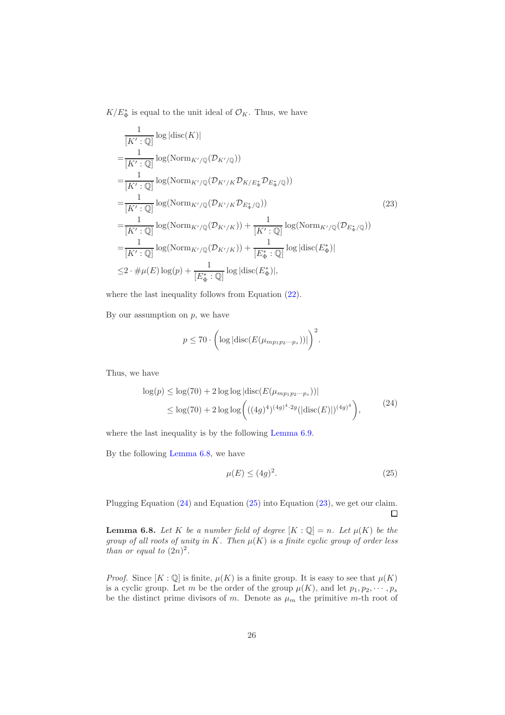$K/E_{\Phi}^*$  is equal to the unit ideal of  $\mathcal{O}_K$ . Thus, we have

<span id="page-25-3"></span>
$$
\frac{1}{[K':\mathbb{Q}]} \log |\text{disc}(K)|
$$
\n
$$
= \frac{1}{[K':\mathbb{Q}]} \log (\text{Norm}_{K'/\mathbb{Q}}(\mathcal{D}_{K'/\mathbb{Q}}))
$$
\n
$$
= \frac{1}{[K':\mathbb{Q}]} \log (\text{Norm}_{K'/\mathbb{Q}}(\mathcal{D}_{K'/K}\mathcal{D}_{K/E_{\Phi}}^* \mathcal{D}_{E_{\Phi}^*/\mathbb{Q}}))
$$
\n
$$
= \frac{1}{[K':\mathbb{Q}]} \log (\text{Norm}_{K'/\mathbb{Q}}(\mathcal{D}_{K'/K}\mathcal{D}_{E_{\Phi}^*/\mathbb{Q}}))
$$
\n
$$
= \frac{1}{[K':\mathbb{Q}]} \log (\text{Norm}_{K'/\mathbb{Q}}(\mathcal{D}_{K'/K})) + \frac{1}{[K':\mathbb{Q}]} \log (\text{Norm}_{K'/\mathbb{Q}}(\mathcal{D}_{E_{\Phi}^*/\mathbb{Q}}))
$$
\n
$$
= \frac{1}{[K':\mathbb{Q}]} \log (\text{Norm}_{K'/\mathbb{Q}}(\mathcal{D}_{K'/K})) + \frac{1}{[E_{\Phi}^*: \mathbb{Q}]} \log |\text{disc}(E_{\Phi}^*)|
$$
\n
$$
\leq 2 \cdot \# \mu(E) \log(p) + \frac{1}{[E_{\Phi}^*: \mathbb{Q}]} \log |\text{disc}(E_{\Phi}^*)|,
$$
\n(11)

where the last inequality follows from Equation  $(22)$ .

By our assumption on  $p$ , we have

$$
p \le 70 \cdot \left( \log |\mathrm{disc}(E(\mu_{mp_1p_2\cdots p_s}))| \right)^2.
$$

Thus, we have

$$
\log(p) \le \log(70) + 2\log\log|\text{disc}(E(\mu_{mp_1p_2\cdots p_s}))|
$$
  
 
$$
\le \log(70) + 2\log\log\left(((4g)^4)^{(4g)^4 \cdot 2g}(|\text{disc}(E)|)^{(4g)^4}\right),
$$
 (24)

<span id="page-25-1"></span>where the last inequality is by the following [Lemma 6.9.](#page-26-0)

<span id="page-25-2"></span>By the following [Lemma 6.8,](#page-25-0) we have

$$
\mu(E) \le (4g)^2. \tag{25}
$$

Plugging Equation [\(24\)](#page-25-1) and Equation [\(25\)](#page-25-2) into Equation [\(23\)](#page-25-3), we get our claim.  $\Box$ 

<span id="page-25-0"></span>**Lemma 6.8.** Let K be a number field of degree  $[K : \mathbb{Q}] = n$ . Let  $\mu(K)$  be the group of all roots of unity in K. Then  $\mu(K)$  is a finite cyclic group of order less than or equal to  $(2n)^2$ .

*Proof.* Since  $[K : \mathbb{Q}]$  is finite,  $\mu(K)$  is a finite group. It is easy to see that  $\mu(K)$ is a cyclic group. Let m be the order of the group  $\mu(K)$ , and let  $p_1, p_2, \cdots, p_s$ be the distinct prime divisors of m. Denote as  $\mu_m$  the primitive m-th root of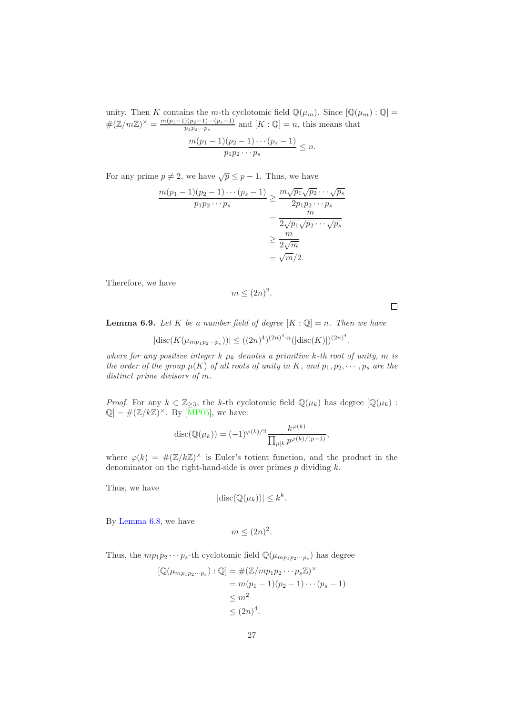unity. Then K contains the m-th cyclotomic field  $\mathbb{Q}(\mu_m)$ . Since  $[\mathbb{Q}(\mu_m) : \mathbb{Q}] =$  $\#(\mathbb{Z}/m\mathbb{Z})^{\times} = \frac{m(p_1-1)(p_2-1)\cdots(p_s-1)}{p_1p_2\cdots p_s}$  $\frac{p_1(p_2-1)\cdots(p_s-1)}{p_1p_2\cdots p_s}$  and  $[K:\mathbb{Q}]=n$ , this means that

$$
\frac{m(p_1-1)(p_2-1)\cdots(p_s-1)}{p_1p_2\cdots p_s} \leq n.
$$

For any prime  $p \neq 2$ , we have  $\sqrt{p} \leq p - 1$ . Thus, we have

$$
\frac{m(p_1 - 1)(p_2 - 1)\cdots(p_s - 1)}{p_1 p_2 \cdots p_s} \ge \frac{m\sqrt{p_1}\sqrt{p_2}\cdots\sqrt{p_s}}{2p_1 p_2 \cdots p_s}
$$

$$
= \frac{m}{2\sqrt{p_1}\sqrt{p_2}\cdots\sqrt{p_s}}
$$

$$
\ge \frac{m}{2\sqrt{m}}
$$

$$
= \sqrt{m}/2.
$$

Therefore, we have

$$
m \le (2n)^2.
$$

<span id="page-26-0"></span>**Lemma 6.9.** Let K be a number field of degree  $[K : \mathbb{Q}] = n$ . Then we have

$$
|\mathrm{disc}(K(\mu_{mp_1p_2\cdots p_s}))| \le ((2n)^4)^{(2n)^4 \cdot n} (|\mathrm{disc}(K)|)^{(2n)^4}.
$$

where for any positive integer  $k \mu_k$  denotes a primitive k-th root of unity, m is the order of the group  $\mu(K)$  of all roots of unity in K, and  $p_1, p_2, \cdots, p_s$  are the distinct prime divisors of m.

*Proof.* For any  $k \in \mathbb{Z}_{\geq 3}$ , the k-th cyclotomic field  $\mathbb{Q}(\mu_k)$  has degree  $[\mathbb{Q}(\mu_k)$ :  $\mathbb{Q}$  = # $(\mathbb{Z}/k\mathbb{Z})^{\times}$ . By [\[MP05\]](#page-31-5), we have:

$$
disc(\mathbb{Q}(\mu_k)) = (-1)^{\varphi(k)/2} \frac{k^{\varphi(k)}}{\prod_{p|k} p^{\varphi(k)/(p-1)}},
$$

where  $\varphi(k) = \#(\mathbb{Z}/k\mathbb{Z})^{\times}$  is Euler's totient function, and the product in the denominator on the right-hand-side is over primes  $p$  dividing  $k$ .

Thus, we have

$$
|\mathrm{disc}(\mathbb{Q}(\mu_k))| \leq k^k.
$$

By [Lemma 6.8,](#page-25-0) we have

$$
m \le (2n)^2.
$$

Thus, the  $mp_1p_2\cdots p_s$ -th cyclotomic field  $\mathbb{Q}(\mu_{mp_1p_2\cdots p_s})$  has degree

$$
[\mathbb{Q}(\mu_{mp_1p_2\cdots p_s}) : \mathbb{Q}] = \#(\mathbb{Z}/mp_1p_2\cdots p_s\mathbb{Z})^{\times}
$$
  
=  $m(p_1 - 1)(p_2 - 1)\cdots(p_s - 1)$   
 $\leq m^2$   
 $\leq (2n)^4$ .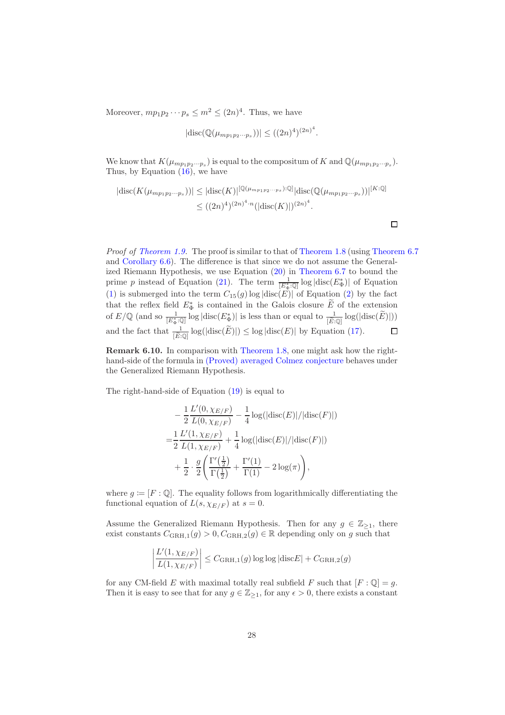Moreover,  $mp_1p_2\cdots p_s \leq m^2 \leq (2n)^4$ . Thus, we have

$$
|\mathrm{disc}(\mathbb{Q}(\mu_{mp_1p_2\cdots p_s}))| \le ((2n)^4)^{(2n)^4}.
$$

We know that  $K(\mu_{mp_1p_2\cdots p_s})$  is equal to the compositum of K and  $\mathbb{Q}(\mu_{mp_1p_2\cdots p_s})$ . Thus, by Equation [\(16\)](#page-14-2), we have

$$
|disc(K(\mu_{mp_1p_2\cdots p_s}))| \leq |disc(K)|^{[Q(\mu_{mp_1p_2\cdots p_s}):\mathbb{Q}]}|disc(\mathbb{Q}(\mu_{mp_1p_2\cdots p_s}))|^{[K:\mathbb{Q}]}\leq ((2n)^4)^{(2n)^4\cdot n}(|disc(K)|)^{(2n)^4}.
$$

 $\Box$ 

Proof of [Theorem 1.9.](#page-6-1) The proof is similar to that of [Theorem 1.8](#page-6-0) (using [Theorem 6.7](#page-23-0)) and [Corollary 6.6\)](#page-23-2). The difference is that since we do not assume the Generalized Riemann Hypothesis, we use Equation [\(20\)](#page-23-3) in [Theorem 6.7](#page-23-0) to bound the prime p instead of Equation [\(21\)](#page-23-1). The term  $\frac{1}{[E_{\Phi}^* \cdot \mathbb{Q}]}$  log  $|\text{disc}(E_{\Phi}^*)|$  of Equation [\(1\)](#page-6-2) is submerged into the term  $C_{15}(g) \log |\text{disc}(E)|$  of Equation [\(2\)](#page-6-3) by the fact that the reflex field  $E_{\Phi}^*$  is contained in the Galois closure  $\widetilde{E}$  of the extension of  $E/\mathbb{Q}$  (and so  $\frac{1}{[E^*_\Phi:\mathbb{Q}]}$  log  $|\text{disc}(E^*_\Phi)|$  is less than or equal to  $\frac{1}{[E:\mathbb{Q}]}$  log( $|\text{disc}(\widetilde{E})|$ )) and the fact that  $\frac{1}{[\tilde{E}:\mathbb{Q}]} \log(|\text{disc}(\tilde{E})|) \leq \log|\text{disc}(E)|$  by Equation [\(17\)](#page-14-0).  $\Box$ 

<span id="page-27-0"></span>Remark 6.10. In comparison with [Theorem 1.8,](#page-6-0) one might ask how the righthand-side of the formula in [\(Proved\) averaged Colmez conjecture](#page-18-1) behaves under the Generalized Riemann Hypothesis.

The right-hand-side of Equation [\(19\)](#page-18-3) is equal to

$$
-\frac{1}{2} \frac{L'(0, \chi_{E/F})}{L(0, \chi_{E/F})} - \frac{1}{4} \log(|\text{disc}(E)|/|\text{disc}(F)|)
$$
  
= 
$$
\frac{1}{2} \frac{L'(1, \chi_{E/F})}{L(1, \chi_{E/F})} + \frac{1}{4} \log(|\text{disc}(E)|/|\text{disc}(F)|)
$$
  
+ 
$$
\frac{1}{2} \cdot \frac{g}{2} \left( \frac{\Gamma'(\frac{1}{2})}{\Gamma(\frac{1}{2})} + \frac{\Gamma'(1)}{\Gamma(1)} - 2 \log(\pi) \right),
$$

where  $g := [F : \mathbb{Q}]$ . The equality follows from logarithmically differentiating the functional equation of  $L(s, \chi_{E/F})$  at  $s = 0$ .

Assume the Generalized Riemann Hypothesis. Then for any  $g \in \mathbb{Z}_{\geq 1}$ , there exist constants  $C_{\text{GRH},1}(g) > 0$ ,  $C_{\text{GRH},2}(g) \in \mathbb{R}$  depending only on g such that

$$
\left| \frac{L'(1, \chi_{E/F})}{L(1, \chi_{E/F})} \right| \leq C_{\text{GRH},1}(g) \log \log |\text{disc}E| + C_{\text{GRH},2}(g)
$$

for any CM-field E with maximal totally real subfield F such that  $[F: \mathbb{Q}] = g$ . Then it is easy to see that for any  $g \in \mathbb{Z}_{\geq 1}$ , for any  $\epsilon > 0$ , there exists a constant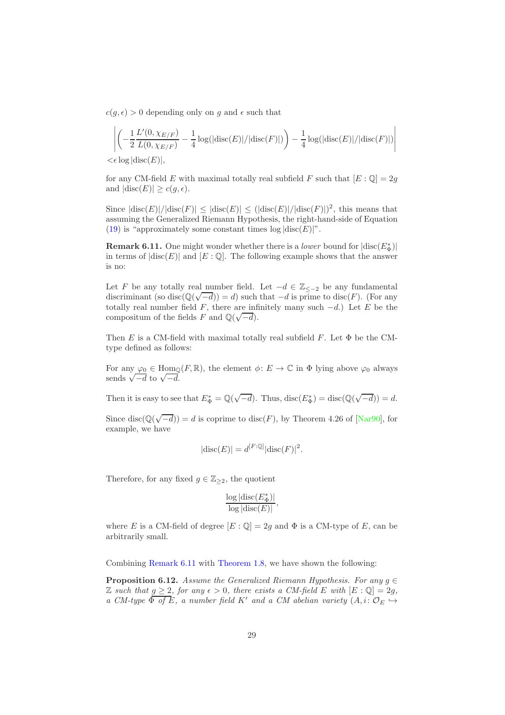$c(g, \epsilon) > 0$  depending only on g and  $\epsilon$  such that

$$
\left| \left( -\frac{1}{2} \frac{L'(0, \chi_{E/F})}{L(0, \chi_{E/F})} - \frac{1}{4} \log(|\text{disc}(E)| / |\text{disc}(F)|) \right) - \frac{1}{4} \log(|\text{disc}(E)| / |\text{disc}(F)|) \right|
$$

 $\lt \epsilon$  log  $|\text{disc}(E)|$ ,

for any CM-field E with maximal totally real subfield F such that  $[E:\mathbb{Q}]=2g$ and  $|\text{disc}(E)| \geq c(g, \epsilon)$ .

Since  $|\text{disc}(E)|/|\text{disc}(F)| \leq |\text{disc}(E)| \leq (|\text{disc}(E)|/|\text{disc}(F)|)^2$ , this means that assuming the Generalized Riemann Hypothesis, the right-hand-side of Equation [\(19\)](#page-18-3) is "approximately some constant times  $log |disc(E)|$ ".

<span id="page-28-0"></span>**Remark 6.11.** One might wonder whether there is a *lower* bound for  $|\text{disc}(E_{\Phi}^*)|$ in terms of  $|\text{disc}(E)|$  and  $[E:\mathbb{Q}]$ . The following example shows that the answer is no:

Let F be any totally real number field. Let  $-d \in \mathbb{Z}_{\leq -2}$  be any fundamental discriminant (so disc $(\mathbb{Q}(\sqrt{-d})) = d$ ) such that  $-d$  is prime to disc(F). (For any totally real number field F, there are infinitely many such  $-d$ .) Let E be the compositum of the fields  $F$  and  $\mathbb{Q}(\sqrt{-d})$ .

Then E is a CM-field with maximal totally real subfield F. Let  $\Phi$  be the CMtype defined as follows:

For any  $\varphi_0 \in \text{Hom}_{\mathbb{Q}}(F,\mathbb{R})$ , the element  $\phi: E \to \mathbb{C}$  in  $\Phi$  lying above  $\varphi_0$  always sends  $\sqrt{-d}$  to  $\sqrt{-d}$ .

Then it is easy to see that  $E_{\Phi}^* = \mathbb{Q}(\sqrt{-d})$ . Thus,  $\text{disc}(E_{\Phi}^*) = \text{disc}(\mathbb{Q}(\sqrt{-d})) = d$ .

Since disc( $\mathbb{Q}(\sqrt{-d})$ ) = d is coprime to disc(F), by Theorem 4.26 of [\[Nar90\]](#page-31-6), for example, we have

$$
|\mathrm{disc}(E)| = d^{[F:\mathbb{Q}]}|\mathrm{disc}(F)|^2.
$$

Therefore, for any fixed  $g \in \mathbb{Z}_{\geq 2}$ , the quotient

$$
\frac{\log|\mathrm{disc}(E^*_\Phi)|}{\log|\mathrm{disc}(E)|},
$$

where E is a CM-field of degree  $[E:\mathbb{Q}]=2g$  and  $\Phi$  is a CM-type of E, can be arbitrarily small.

Combining [Remark 6.11](#page-28-0) with [Theorem 1.8,](#page-6-0) we have shown the following:

<span id="page-28-1"></span>**Proposition 6.12.** Assume the Generalized Riemann Hypothesis. For any  $q \in$ Z such that  $g \geq 2$ , for any  $\epsilon > 0$ , there exists a CM-field E with  $[E : \mathbb{Q}] = 2g$ , a CM-type  $\overline{\Phi}$  of E, a number field K' and a CM abelian variety  $(A, i: \mathcal{O}_E \hookrightarrow$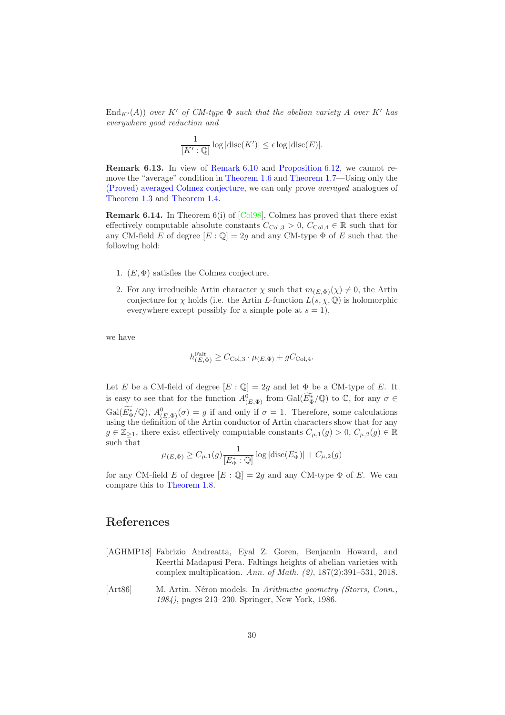$\text{End}_{K'}(A)$  over K' of CM-type  $\Phi$  such that the abelian variety A over K' has everywhere good reduction and

$$
\frac{1}{[K':\mathbb{Q}]} \log |\mathrm{disc}(K')| \le \epsilon \log |\mathrm{disc}(E)|.
$$

Remark 6.13. In view of [Remark 6.10](#page-27-0) and [Proposition 6.12,](#page-28-1) we cannot remove the "average" condition in [Theorem 1.6](#page-5-0) and [Theorem 1.7—](#page-5-1)Using only the [\(Proved\) averaged Colmez conjecture,](#page-18-1) we can only prove averaged analogues of [Theorem 1.3](#page-3-0) and [Theorem 1.4.](#page-4-0)

**Remark 6.14.** In Theorem  $6(i)$  of [\[Col98\]](#page-30-1), Colmez has proved that there exist effectively computable absolute constants  $C_{\text{Col,3}} > 0$ ,  $C_{\text{Col,4}} \in \mathbb{R}$  such that for any CM-field E of degree  $[E:\mathbb{Q}]=2g$  and any CM-type  $\Phi$  of E such that the following hold:

- 1.  $(E, \Phi)$  satisfies the Colmez conjecture,
- 2. For any irreducible Artin character  $\chi$  such that  $m_{(E,\Phi)}(\chi) \neq 0$ , the Artin conjecture for  $\chi$  holds (i.e. the Artin L-function  $L(s, \chi, \mathbb{Q})$  is holomorphic everywhere except possibly for a simple pole at  $s = 1$ ),

we have

$$
h^{\text{Falt}}_{(E,\Phi)} \geq C_{\text{Col},3} \cdot \mu_{(E,\Phi)} + gC_{\text{Col},4}.
$$

Let E be a CM-field of degree  $[E : \mathbb{Q}] = 2g$  and let  $\Phi$  be a CM-type of E. It is easy to see that for the function  $A^0_{(E,\Phi)}$  from  $Gal(\widetilde{E^*_{\Phi}}/\mathbb{Q})$  to  $\mathbb{C}$ , for any  $\sigma \in$  $Gal(E_{\Phi}^{*}/\mathbb{Q}),$   $A_{(E,\Phi)}^{0}(\sigma) = g$  if and only if  $\sigma = 1$ . Therefore, some calculations using the definition of the Artin conductor of Artin characters show that for any  $g \in \mathbb{Z}_{\geq 1}$ , there exist effectively computable constants  $C_{\mu,1}(g) > 0$ ,  $C_{\mu,2}(g) \in \mathbb{R}$ such that

$$
\mu_{(E,\Phi)} \ge C_{\mu,1}(g) \frac{1}{[E^*_{\Phi} : \mathbb{Q}]} \log |\mathrm{disc}(E^*_{\Phi})| + C_{\mu,2}(g)
$$

for any CM-field E of degree  $[E:\mathbb{Q}]=2g$  and any CM-type  $\Phi$  of E. We can compare this to [Theorem 1.8.](#page-6-0)

## <span id="page-29-0"></span>References

- <span id="page-29-1"></span>[AGHMP18] Fabrizio Andreatta, Eyal Z. Goren, Benjamin Howard, and Keerthi Madapusi Pera. Faltings heights of abelian varieties with complex multiplication. Ann. of Math. (2), 187(2):391–531, 2018.
- [Art86] M. Artin. Néron models. In Arithmetic geometry (Storrs, Conn., 1984), pages 213–230. Springer, New York, 1986.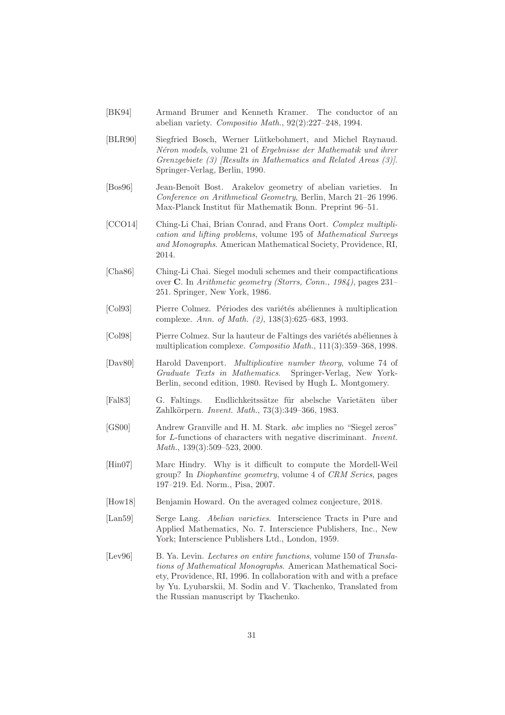- [BK94] Armand Brumer and Kenneth Kramer. The conductor of an abelian variety. Compositio Math., 92(2):227–248, 1994.
- [BLR90] Siegfried Bosch, Werner Lütkebohmert, and Michel Raynaud. Néron models, volume 21 of Ergebnisse der Mathematik und ihrer Grenzgebiete (3) [Results in Mathematics and Related Areas (3)]. Springer-Verlag, Berlin, 1990.
- <span id="page-30-2"></span>[Bos96] Jean-Benoît Bost. Arakelov geometry of abelian varieties. In Conference on Arithmetical Geometry, Berlin, March 21–26 1996. Max-Planck Institut für Mathematik Bonn. Preprint 96–51.
- <span id="page-30-3"></span>[CCO14] Ching-Li Chai, Brian Conrad, and Frans Oort. Complex multiplication and lifting problems, volume 195 of Mathematical Surveys and Monographs. American Mathematical Society, Providence, RI, 2014.
- [Cha86] Ching-Li Chai. Siegel moduli schemes and their compactifications over C. In Arithmetic geometry (Storrs, Conn., 1984), pages 231– 251. Springer, New York, 1986.
- <span id="page-30-0"></span>[Col93] Pierre Colmez. Périodes des variétés abéliennes à multiplication complexe. Ann. of Math. (2), 138(3):625–683, 1993.
- <span id="page-30-1"></span>[Col98] Pierre Colmez. Sur la hauteur de Faltings des variétés abéliennes à multiplication complexe. Compositio Math., 111(3):359–368, 1998.
- [Dav80] Harold Davenport. Multiplicative number theory, volume 74 of Graduate Texts in Mathematics. Springer-Verlag, New York-Berlin, second edition, 1980. Revised by Hugh L. Montgomery.
- [Fal83] G. Faltings. Endlichkeitssätze für abelsche Varietäten über Zahlkörpern. Invent. Math., 73(3):349-366, 1983.
- [GS00] Andrew Granville and H. M. Stark. abc implies no "Siegel zeros" for L-functions of characters with negative discriminant. Invent. Math., 139(3):509–523, 2000.
- [Hin07] Marc Hindry. Why is it difficult to compute the Mordell-Weil group? In Diophantine geometry, volume 4 of CRM Series, pages 197–219. Ed. Norm., Pisa, 2007.
- [How18] Benjamin Howard. On the averaged colmez conjecture, 2018.
- [Lan59] Serge Lang. Abelian varieties. Interscience Tracts in Pure and Applied Mathematics, No. 7. Interscience Publishers, Inc., New York; Interscience Publishers Ltd., London, 1959.
- [Lev96] B. Ya. Levin. Lectures on entire functions, volume 150 of Translations of Mathematical Monographs. American Mathematical Society, Providence, RI, 1996. In collaboration with and with a preface by Yu. Lyubarskii, M. Sodin and V. Tkachenko, Translated from the Russian manuscript by Tkachenko.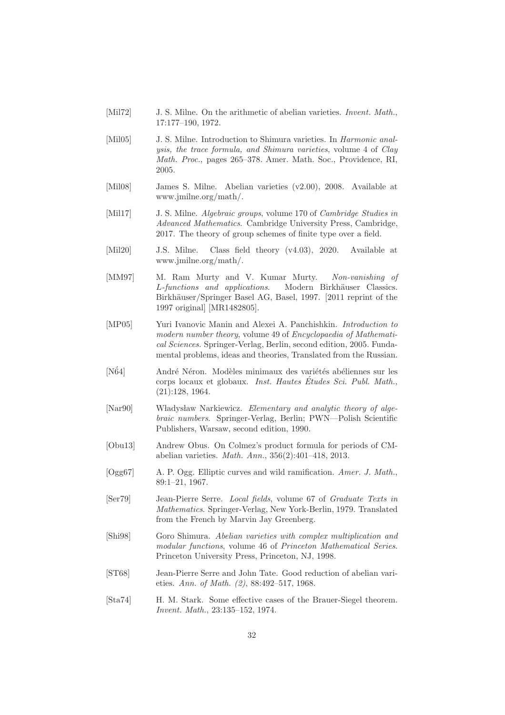- [Mil72] J. S. Milne. On the arithmetic of abelian varieties. *Invent. Math.*, 17:177–190, 1972.
- [Mil05] J. S. Milne. Introduction to Shimura varieties. In *Harmonic anal*ysis, the trace formula, and Shimura varieties, volume 4 of Clay Math. Proc., pages 265–378. Amer. Math. Soc., Providence, RI, 2005.
- [Mil08] James S. Milne. Abelian varieties (v2.00), 2008. Available at www.jmilne.org/math/.
- [Mil17] J. S. Milne. *Algebraic groups*, volume 170 of *Cambridge Studies in* Advanced Mathematics. Cambridge University Press, Cambridge, 2017. The theory of group schemes of finite type over a field.
- [Mil20] J.S. Milne. Class field theory (v4.03), 2020. Available at www.jmilne.org/math/.
- <span id="page-31-2"></span>[MM97] M. Ram Murty and V. Kumar Murty. Non-vanishing of L-functions and applications. Modern Birkhäuser Classics. Birkhäuser/Springer Basel AG, Basel, 1997. [2011 reprint of the 1997 original] [MR1482805].
- <span id="page-31-5"></span>[MP05] Yuri Ivanovic Manin and Alexei A. Panchishkin. Introduction to modern number theory, volume 49 of Encyclopaedia of Mathematical Sciences. Springer-Verlag, Berlin, second edition, 2005. Fundamental problems, ideas and theories, Translated from the Russian.
- [N $64$ ] André Néron. Modèles minimaux des variétés abéliennes sur les corps locaux et globaux. *Inst. Hautes Études Sci. Publ. Math.*, (21):128, 1964.
- <span id="page-31-6"></span>[Nar90] Władysław Narkiewicz. Elementary and analytic theory of algebraic numbers. Springer-Verlag, Berlin; PWN—Polish Scientific Publishers, Warsaw, second edition, 1990.
- <span id="page-31-0"></span>[Obu13] Andrew Obus. On Colmez's product formula for periods of CMabelian varieties. Math. Ann., 356(2):401–418, 2013.
- [Ogg67] A. P. Ogg. Elliptic curves and wild ramification. Amer. J. Math., 89:1–21, 1967.
- <span id="page-31-4"></span>[Ser79] Jean-Pierre Serre. Local fields, volume 67 of Graduate Texts in Mathematics. Springer-Verlag, New York-Berlin, 1979. Translated from the French by Marvin Jay Greenberg.
- [Shi98] Goro Shimura. Abelian varieties with complex multiplication and modular functions, volume 46 of Princeton Mathematical Series. Princeton University Press, Princeton, NJ, 1998.
- <span id="page-31-3"></span>[ST68] Jean-Pierre Serre and John Tate. Good reduction of abelian varieties. Ann. of Math. (2), 88:492–517, 1968.
- <span id="page-31-1"></span>[Sta74] H. M. Stark. Some effective cases of the Brauer-Siegel theorem. Invent. Math., 23:135–152, 1974.